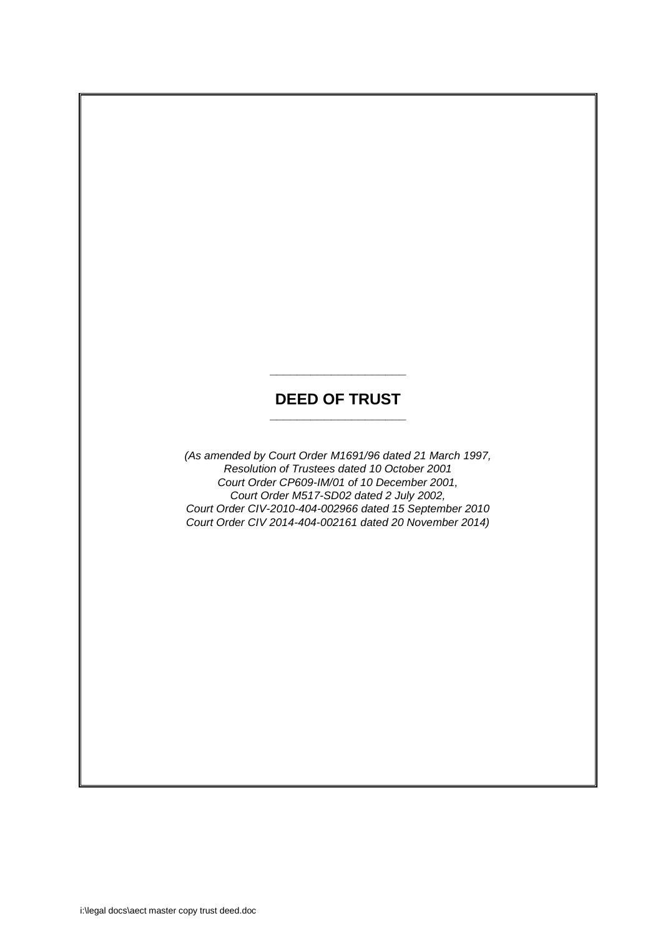# **DEED OF TRUST \_\_\_\_\_\_\_\_\_\_\_\_\_\_\_\_\_\_\_\_**

**\_\_\_\_\_\_\_\_\_\_\_\_\_\_\_\_\_\_\_\_**

*(As amended by Court Order M1691/96 dated 21 March 1997, Resolution of Trustees dated 10 October 2001 Court Order CP609-IM/01 of 10 December 2001, Court Order M517-SD02 dated 2 July 2002, Court Order CIV-2010-404-002966 dated 15 September 2010 Court Order CIV 2014-404-002161 dated 20 November 2014)*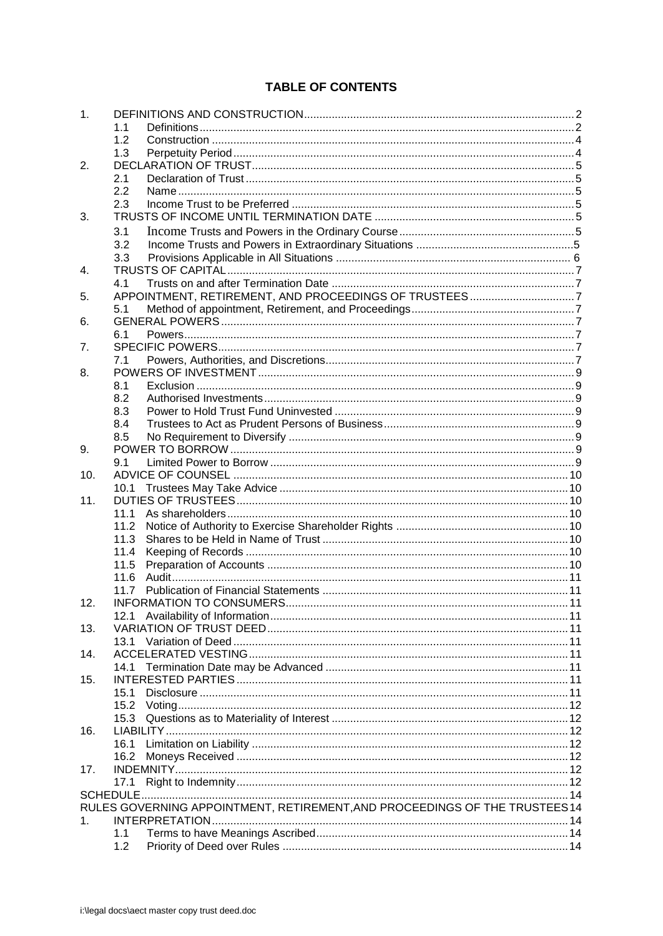# **TABLE OF CONTENTS**

| 1.  |                                                                             |  |
|-----|-----------------------------------------------------------------------------|--|
|     | 1.1                                                                         |  |
|     | 1.2                                                                         |  |
|     | 1.3                                                                         |  |
| 2.  |                                                                             |  |
|     | 2.1                                                                         |  |
|     | 2.2                                                                         |  |
|     | 2.3                                                                         |  |
| 3.  |                                                                             |  |
|     | 3.1                                                                         |  |
|     | 3.2                                                                         |  |
|     | 3.3                                                                         |  |
|     |                                                                             |  |
| 4.  |                                                                             |  |
|     | 4.1                                                                         |  |
| 5.  |                                                                             |  |
|     | 5.1                                                                         |  |
| 6.  |                                                                             |  |
|     | 6.1                                                                         |  |
| 7.  |                                                                             |  |
|     | 7.1                                                                         |  |
| 8.  |                                                                             |  |
|     | 8.1                                                                         |  |
|     | 8.2                                                                         |  |
|     | 8.3                                                                         |  |
|     | 8.4                                                                         |  |
|     | 8.5                                                                         |  |
| 9.  |                                                                             |  |
|     | 9.1                                                                         |  |
| 10. |                                                                             |  |
|     | 10.1                                                                        |  |
| 11. |                                                                             |  |
|     | 11.1                                                                        |  |
|     | 11.2                                                                        |  |
|     |                                                                             |  |
|     | 11.3                                                                        |  |
|     | 11.4                                                                        |  |
|     | 11.5                                                                        |  |
|     | 11.6                                                                        |  |
|     | 11.7                                                                        |  |
| 12. | INFORMATION TO CONSUMERS.                                                   |  |
|     |                                                                             |  |
| 13. |                                                                             |  |
|     | 13.1                                                                        |  |
| 14. |                                                                             |  |
|     |                                                                             |  |
| 15. |                                                                             |  |
|     | 15.1                                                                        |  |
|     | 15.2                                                                        |  |
|     | 15.3                                                                        |  |
| 16. |                                                                             |  |
|     | 16.1                                                                        |  |
|     | 16.2                                                                        |  |
| 17. |                                                                             |  |
|     |                                                                             |  |
|     | 17.1                                                                        |  |
|     |                                                                             |  |
|     | RULES GOVERNING APPOINTMENT, RETIREMENT, AND PROCEEDINGS OF THE TRUSTEES 14 |  |
| 1.  |                                                                             |  |
|     | 1.1                                                                         |  |
|     | 1.2                                                                         |  |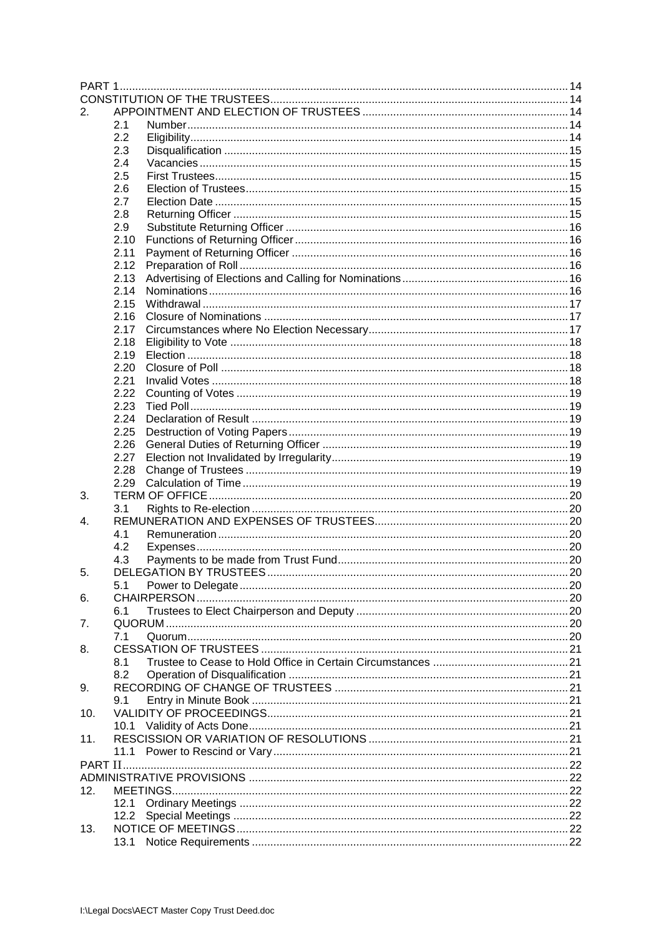| 2.  |          |  |
|-----|----------|--|
|     | 2.1      |  |
|     | 2.2      |  |
|     | 2.3      |  |
|     | 2.4      |  |
|     | 2.5      |  |
|     | 2.6      |  |
|     | 2.7      |  |
|     | 2.8      |  |
|     | 2.9      |  |
|     | 2.10     |  |
|     | 2.11     |  |
|     | 2.12     |  |
|     |          |  |
|     | 2.13     |  |
|     | 2.14     |  |
|     | 2.15     |  |
|     | 2.16     |  |
|     | 2.17     |  |
|     | 2.18     |  |
|     | 2.19     |  |
|     | 2.20     |  |
|     | 2.21     |  |
|     | 2.22     |  |
|     | 2.23     |  |
|     | 2.24     |  |
|     | 2.25     |  |
|     | 2.26     |  |
|     | 2.27     |  |
|     | 2.28     |  |
|     | 2.29     |  |
| 3.  |          |  |
|     | 3.1      |  |
| 4.  |          |  |
|     | 4.1      |  |
|     | 4.2      |  |
|     |          |  |
|     | 4.3      |  |
| 5.  |          |  |
|     | 5.1      |  |
| 6.  |          |  |
|     | 6.1      |  |
| 7.  |          |  |
|     | 7.1      |  |
| 8.  |          |  |
|     | 8.1      |  |
|     | 8.2      |  |
| 9.  |          |  |
|     | 9.1      |  |
| 10. |          |  |
|     | 10.1     |  |
| 11. |          |  |
|     | 11.1     |  |
|     |          |  |
|     |          |  |
| 12. | MEETINGS |  |
|     |          |  |
|     | 12.1     |  |
|     | 12.2     |  |
| 13. |          |  |
|     | 13.1     |  |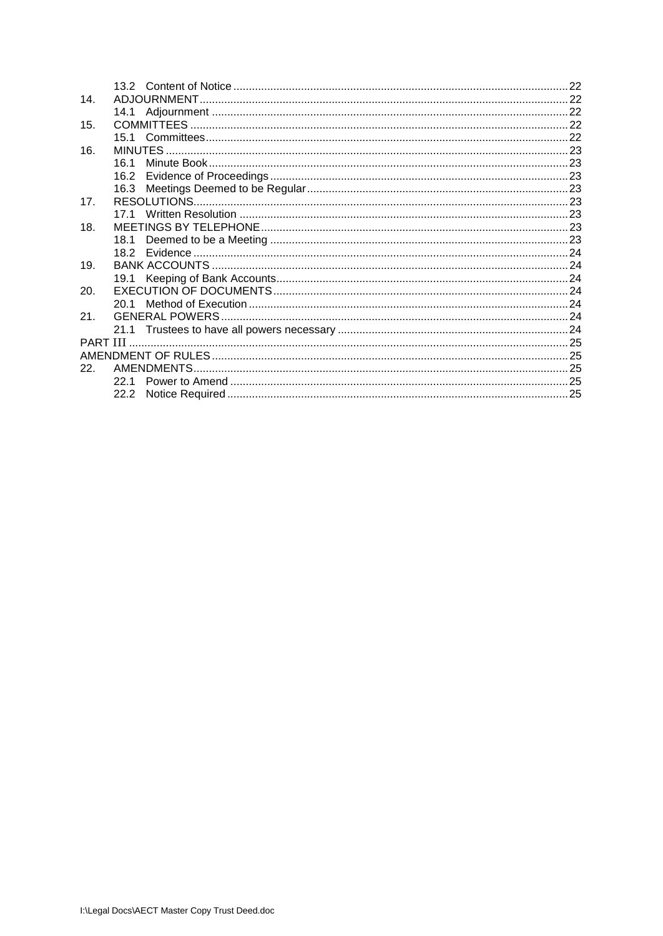| 14.             |      |  |
|-----------------|------|--|
|                 |      |  |
| 15.             |      |  |
|                 |      |  |
| 16.             |      |  |
|                 | 161  |  |
|                 | 16.2 |  |
|                 |      |  |
| 17 <sub>1</sub> |      |  |
|                 |      |  |
| 18.             |      |  |
|                 |      |  |
|                 |      |  |
| 19.             |      |  |
|                 |      |  |
| 20.             |      |  |
|                 |      |  |
| 21.             |      |  |
|                 |      |  |
|                 |      |  |
|                 |      |  |
| 22.             |      |  |
|                 | 22.1 |  |
|                 |      |  |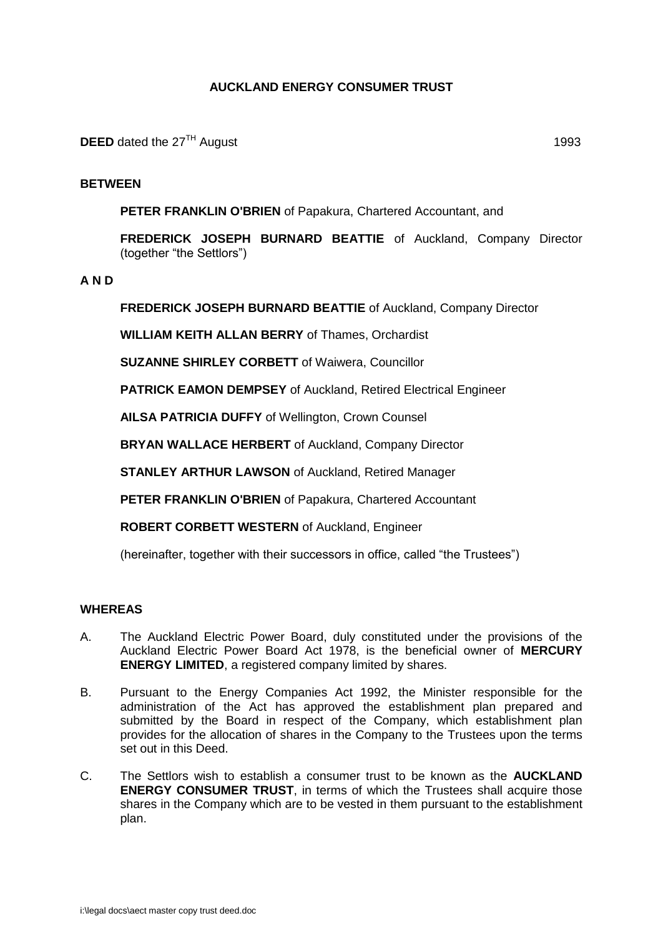## **AUCKLAND ENERGY CONSUMER TRUST**

## **BETWEEN**

**PETER FRANKLIN O'BRIEN** of Papakura, Chartered Accountant, and

**FREDERICK JOSEPH BURNARD BEATTIE** of Auckland, Company Director (together "the Settlors")

**A N D**

**FREDERICK JOSEPH BURNARD BEATTIE** of Auckland, Company Director

**WILLIAM KEITH ALLAN BERRY** of Thames, Orchardist

**SUZANNE SHIRLEY CORBETT** of Waiwera, Councillor

**PATRICK EAMON DEMPSEY** of Auckland, Retired Electrical Engineer

**AILSA PATRICIA DUFFY** of Wellington, Crown Counsel

**BRYAN WALLACE HERBERT** of Auckland, Company Director

**STANLEY ARTHUR LAWSON** of Auckland, Retired Manager

**PETER FRANKLIN O'BRIEN** of Papakura, Chartered Accountant

**ROBERT CORBETT WESTERN** of Auckland, Engineer

(hereinafter, together with their successors in office, called "the Trustees")

## **WHEREAS**

- A. The Auckland Electric Power Board, duly constituted under the provisions of the Auckland Electric Power Board Act 1978, is the beneficial owner of **MERCURY ENERGY LIMITED**, a registered company limited by shares.
- B. Pursuant to the Energy Companies Act 1992, the Minister responsible for the administration of the Act has approved the establishment plan prepared and submitted by the Board in respect of the Company, which establishment plan provides for the allocation of shares in the Company to the Trustees upon the terms set out in this Deed.
- C. The Settlors wish to establish a consumer trust to be known as the **AUCKLAND ENERGY CONSUMER TRUST**, in terms of which the Trustees shall acquire those shares in the Company which are to be vested in them pursuant to the establishment plan.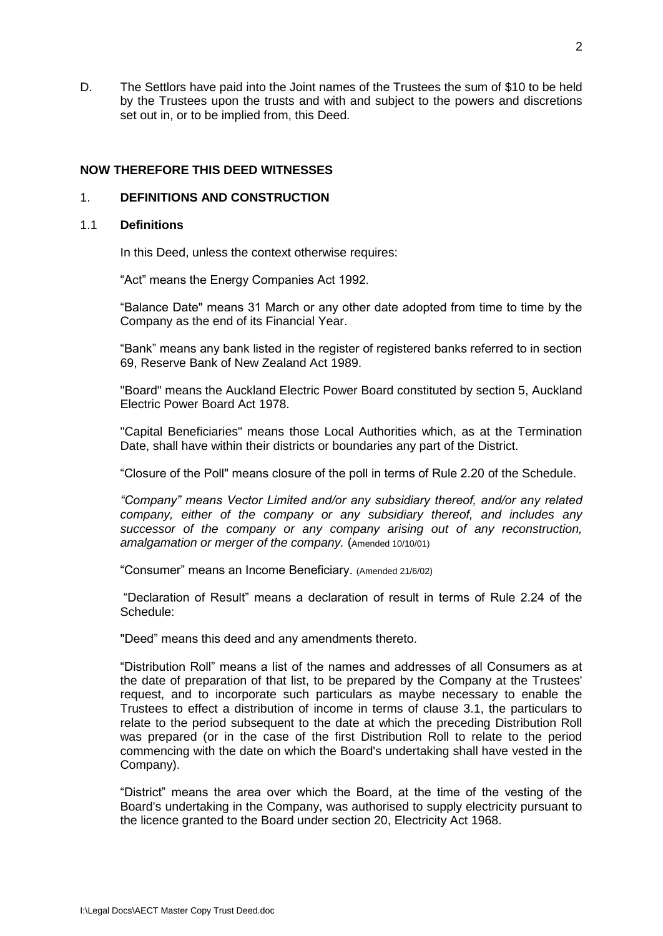D. The Settlors have paid into the Joint names of the Trustees the sum of \$10 to be held by the Trustees upon the trusts and with and subject to the powers and discretions set out in, or to be implied from, this Deed.

## **NOW THEREFORE THIS DEED WITNESSES**

### <span id="page-5-0"></span>1. **DEFINITIONS AND CONSTRUCTION**

#### <span id="page-5-1"></span>1.1 **Definitions**

In this Deed, unless the context otherwise requires:

"Act" means the Energy Companies Act 1992.

"Balance Date" means 31 March or any other date adopted from time to time by the Company as the end of its Financial Year.

"Bank" means any bank listed in the register of registered banks referred to in section 69, Reserve Bank of New Zealand Act 1989.

"Board" means the Auckland Electric Power Board constituted by section 5, Auckland Electric Power Board Act 1978.

"Capital Beneficiaries" means those Local Authorities which, as at the Termination Date, shall have within their districts or boundaries any part of the District.

"Closure of the Poll" means closure of the poll in terms of Rule 2.20 of the Schedule.

*"Company" means Vector Limited and/or any subsidiary thereof, and/or any related company, either of the company or any subsidiary thereof, and includes any successor of the company or any company arising out of any reconstruction, amalgamation or merger of the company.* (Amended 10/10/01)

"Consumer" means an Income Beneficiary. (Amended 21/6/02)

"Declaration of Result" means a declaration of result in terms of Rule 2.24 of the Schedule:

"Deed" means this deed and any amendments thereto.

"Distribution Roll" means a list of the names and addresses of all Consumers as at the date of preparation of that list, to be prepared by the Company at the Trustees' request, and to incorporate such particulars as maybe necessary to enable the Trustees to effect a distribution of income in terms of clause 3.1, the particulars to relate to the period subsequent to the date at which the preceding Distribution Roll was prepared (or in the case of the first Distribution Roll to relate to the period commencing with the date on which the Board's undertaking shall have vested in the Company).

"District" means the area over which the Board, at the time of the vesting of the Board's undertaking in the Company, was authorised to supply electricity pursuant to the licence granted to the Board under section 20, Electricity Act 1968.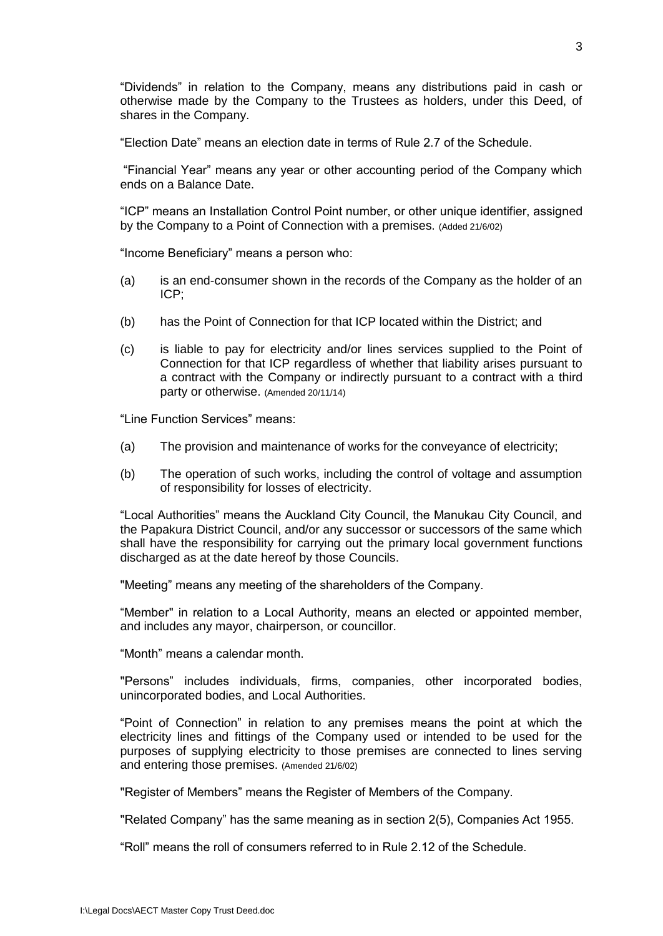"Dividends" in relation to the Company, means any distributions paid in cash or otherwise made by the Company to the Trustees as holders, under this Deed, of shares in the Company.

"Election Date" means an election date in terms of Rule 2.7 of the Schedule.

"Financial Year" means any year or other accounting period of the Company which ends on a Balance Date.

"ICP" means an Installation Control Point number, or other unique identifier, assigned by the Company to a Point of Connection with a premises. (Added 21/6/02)

"Income Beneficiary" means a person who:

- (a) is an end-consumer shown in the records of the Company as the holder of an ICP;
- (b) has the Point of Connection for that ICP located within the District; and
- (c) is liable to pay for electricity and/or lines services supplied to the Point of Connection for that ICP regardless of whether that liability arises pursuant to a contract with the Company or indirectly pursuant to a contract with a third party or otherwise. (Amended 20/11/14)

"Line Function Services" means:

- (a) The provision and maintenance of works for the conveyance of electricity;
- (b) The operation of such works, including the control of voltage and assumption of responsibility for losses of electricity.

"Local Authorities" means the Auckland City Council, the Manukau City Council, and the Papakura District Council, and/or any successor or successors of the same which shall have the responsibility for carrying out the primary local government functions discharged as at the date hereof by those Councils.

"Meeting" means any meeting of the shareholders of the Company.

"Member" in relation to a Local Authority, means an elected or appointed member, and includes any mayor, chairperson, or councillor.

"Month" means a calendar month.

"Persons" includes individuals, firms, companies, other incorporated bodies, unincorporated bodies, and Local Authorities.

"Point of Connection" in relation to any premises means the point at which the electricity lines and fittings of the Company used or intended to be used for the purposes of supplying electricity to those premises are connected to lines serving and entering those premises. (Amended 21/6/02)

"Register of Members" means the Register of Members of the Company.

"Related Company" has the same meaning as in section 2(5), Companies Act 1955.

"Roll" means the roll of consumers referred to in Rule 2.12 of the Schedule.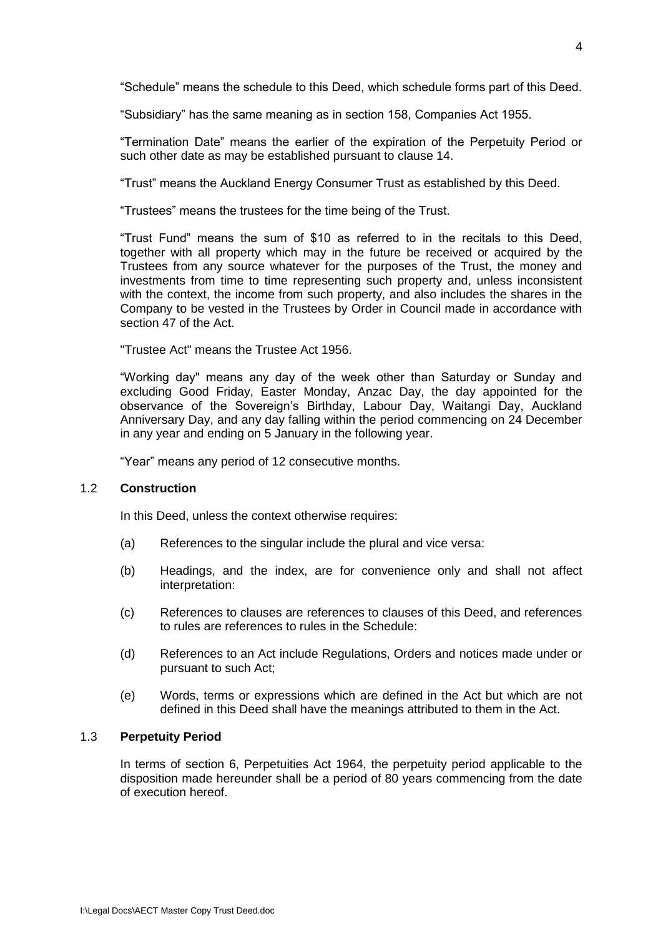"Schedule" means the schedule to this Deed, which schedule forms part of this Deed.

"Subsidiary" has the same meaning as in section 158, Companies Act 1955.

"Termination Date" means the earlier of the expiration of the Perpetuity Period or such other date as may be established pursuant to clause 14.

"Trust" means the Auckland Energy Consumer Trust as established by this Deed.

"Trustees" means the trustees for the time being of the Trust.

"Trust Fund" means the sum of \$10 as referred to in the recitals to this Deed, together with all property which may in the future be received or acquired by the Trustees from any source whatever for the purposes of the Trust, the money and investments from time to time representing such property and, unless inconsistent with the context, the income from such property, and also includes the shares in the Company to be vested in the Trustees by Order in Council made in accordance with section 47 of the Act.

"Trustee Act" means the Trustee Act 1956.

"Working day" means any day of the week other than Saturday or Sunday and excluding Good Friday, Easter Monday, Anzac Day, the day appointed for the observance of the Sovereign's Birthday, Labour Day, Waitangi Day, Auckland Anniversary Day, and any day falling within the period commencing on 24 December in any year and ending on 5 January in the following year.

"Year" means any period of 12 consecutive months.

### <span id="page-7-0"></span>1.2 **Construction**

In this Deed, unless the context otherwise requires:

- (a) References to the singular include the plural and vice versa:
- (b) Headings, and the index, are for convenience only and shall not affect interpretation:
- (c) References to clauses are references to clauses of this Deed, and references to rules are references to rules in the Schedule:
- (d) References to an Act include Regulations, Orders and notices made under or pursuant to such Act;
- (e) Words, terms or expressions which are defined in the Act but which are not defined in this Deed shall have the meanings attributed to them in the Act.

## <span id="page-7-1"></span>1.3 **Perpetuity Period**

In terms of section 6, Perpetuities Act 1964, the perpetuity period applicable to the disposition made hereunder shall be a period of 80 years commencing from the date of execution hereof.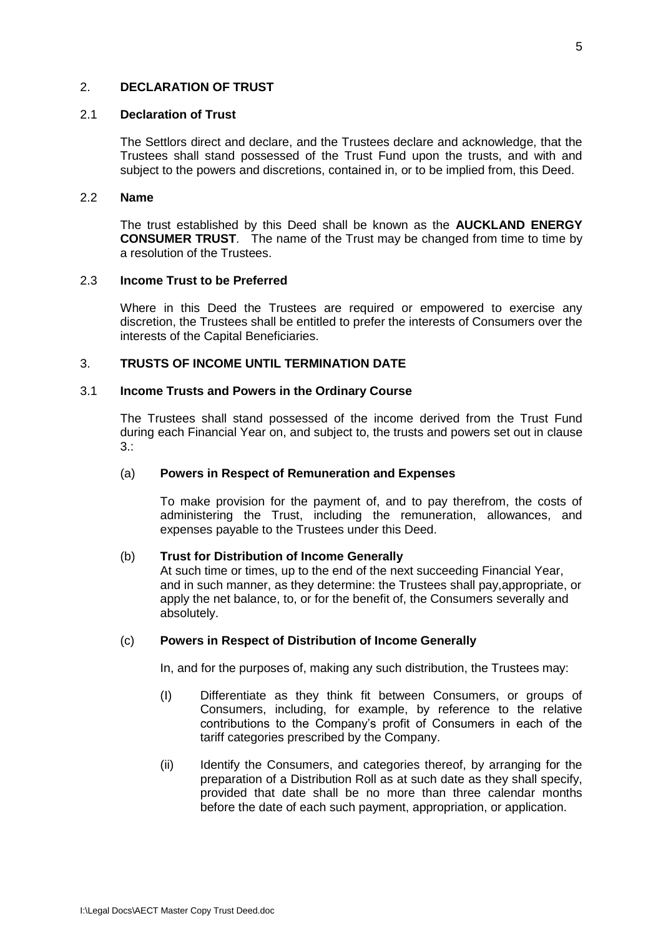## <span id="page-8-1"></span><span id="page-8-0"></span>2. **DECLARATION OF TRUST**

#### 2.1 **Declaration of Trust**

The Settlors direct and declare, and the Trustees declare and acknowledge, that the Trustees shall stand possessed of the Trust Fund upon the trusts, and with and subject to the powers and discretions, contained in, or to be implied from, this Deed.

#### <span id="page-8-2"></span>2.2 **Name**

The trust established by this Deed shall be known as the **AUCKLAND ENERGY CONSUMER TRUST**. The name of the Trust may be changed from time to time by a resolution of the Trustees.

### <span id="page-8-3"></span>2.3 **Income Trust to be Preferred**

Where in this Deed the Trustees are required or empowered to exercise any discretion, the Trustees shall be entitled to prefer the interests of Consumers over the interests of the Capital Beneficiaries.

## <span id="page-8-4"></span>3. **TRUSTS OF INCOME UNTIL TERMINATION DATE**

### <span id="page-8-5"></span>3.1 **Income Trusts and Powers in the Ordinary Course**

The Trustees shall stand possessed of the income derived from the Trust Fund during each Financial Year on, and subject to, the trusts and powers set out in clause 3.:

### (a) **Powers in Respect of Remuneration and Expenses**

To make provision for the payment of, and to pay therefrom, the costs of administering the Trust, including the remuneration, allowances, and expenses payable to the Trustees under this Deed.

### (b) **Trust for Distribution of Income Generally**

At such time or times, up to the end of the next succeeding Financial Year, and in such manner, as they determine: the Trustees shall pay,appropriate, or apply the net balance, to, or for the benefit of, the Consumers severally and absolutely.

### (c) **Powers in Respect of Distribution of Income Generally**

In, and for the purposes of, making any such distribution, the Trustees may:

- (I) Differentiate as they think fit between Consumers, or groups of Consumers, including, for example, by reference to the relative contributions to the Company's profit of Consumers in each of the tariff categories prescribed by the Company.
- (ii) Identify the Consumers, and categories thereof, by arranging for the preparation of a Distribution Roll as at such date as they shall specify, provided that date shall be no more than three calendar months before the date of each such payment, appropriation, or application.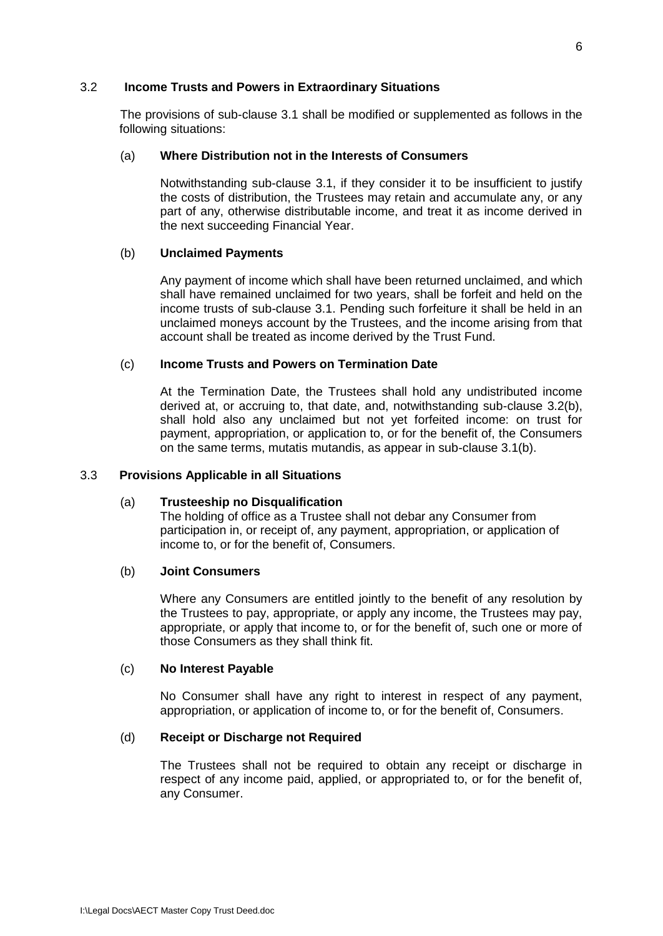### 3.2 **Income Trusts and Powers in Extraordinary Situations**

The provisions of sub-clause 3.1 shall be modified or supplemented as follows in the following situations:

## (a) **Where Distribution not in the Interests of Consumers**

Notwithstanding sub-clause 3.1, if they consider it to be insufficient to justify the costs of distribution, the Trustees may retain and accumulate any, or any part of any, otherwise distributable income, and treat it as income derived in the next succeeding Financial Year.

## (b) **Unclaimed Payments**

Any payment of income which shall have been returned unclaimed, and which shall have remained unclaimed for two years, shall be forfeit and held on the income trusts of sub-clause 3.1. Pending such forfeiture it shall be held in an unclaimed moneys account by the Trustees, and the income arising from that account shall be treated as income derived by the Trust Fund.

## (c) **Income Trusts and Powers on Termination Date**

At the Termination Date, the Trustees shall hold any undistributed income derived at, or accruing to, that date, and, notwithstanding sub-clause 3.2(b), shall hold also any unclaimed but not yet forfeited income: on trust for payment, appropriation, or application to, or for the benefit of, the Consumers on the same terms, mutatis mutandis, as appear in sub-clause 3.1(b).

### 3.3 **Provisions Applicable in all Situations**

### (a) **Trusteeship no Disqualification**

The holding of office as a Trustee shall not debar any Consumer from participation in, or receipt of, any payment, appropriation, or application of income to, or for the benefit of, Consumers.

## (b) **Joint Consumers**

Where any Consumers are entitled jointly to the benefit of any resolution by the Trustees to pay, appropriate, or apply any income, the Trustees may pay, appropriate, or apply that income to, or for the benefit of, such one or more of those Consumers as they shall think fit.

### (c) **No Interest Payable**

No Consumer shall have any right to interest in respect of any payment, appropriation, or application of income to, or for the benefit of, Consumers.

### (d) **Receipt or Discharge not Required**

The Trustees shall not be required to obtain any receipt or discharge in respect of any income paid, applied, or appropriated to, or for the benefit of, any Consumer.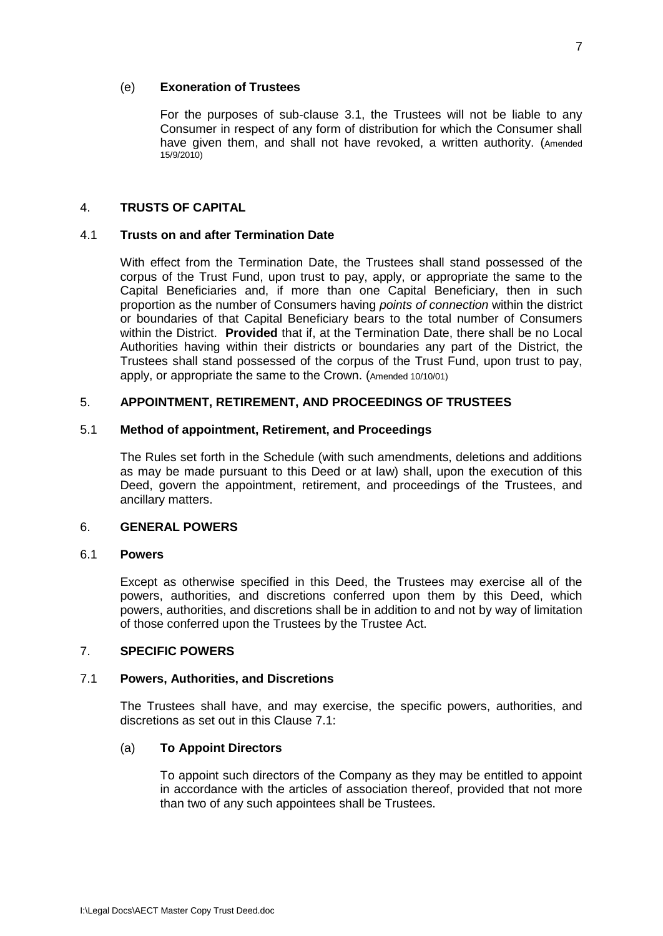### (e) **Exoneration of Trustees**

For the purposes of sub-clause 3.1, the Trustees will not be liable to any Consumer in respect of any form of distribution for which the Consumer shall have given them, and shall not have revoked, a written authority. (Amended 15/9/2010)

## <span id="page-10-0"></span>4. **TRUSTS OF CAPITAL**

### <span id="page-10-1"></span>4.1 **Trusts on and after Termination Date**

With effect from the Termination Date, the Trustees shall stand possessed of the corpus of the Trust Fund, upon trust to pay, apply, or appropriate the same to the Capital Beneficiaries and, if more than one Capital Beneficiary, then in such proportion as the number of Consumers having *points of connection* within the district or boundaries of that Capital Beneficiary bears to the total number of Consumers within the District. **Provided** that if, at the Termination Date, there shall be no Local Authorities having within their districts or boundaries any part of the District, the Trustees shall stand possessed of the corpus of the Trust Fund, upon trust to pay, apply, or appropriate the same to the Crown. (Amended 10/10/01)

## <span id="page-10-2"></span>5. **APPOINTMENT, RETIREMENT, AND PROCEEDINGS OF TRUSTEES**

### <span id="page-10-3"></span>5.1 **Method of appointment, Retirement, and Proceedings**

The Rules set forth in the Schedule (with such amendments, deletions and additions as may be made pursuant to this Deed or at law) shall, upon the execution of this Deed, govern the appointment, retirement, and proceedings of the Trustees, and ancillary matters.

### <span id="page-10-4"></span>6. **GENERAL POWERS**

## <span id="page-10-5"></span>6.1 **Powers**

Except as otherwise specified in this Deed, the Trustees may exercise all of the powers, authorities, and discretions conferred upon them by this Deed, which powers, authorities, and discretions shall be in addition to and not by way of limitation of those conferred upon the Trustees by the Trustee Act.

### <span id="page-10-6"></span>7. **SPECIFIC POWERS**

### <span id="page-10-7"></span>7.1 **Powers, Authorities, and Discretions**

The Trustees shall have, and may exercise, the specific powers, authorities, and discretions as set out in this Clause 7.1:

## (a) **To Appoint Directors**

To appoint such directors of the Company as they may be entitled to appoint in accordance with the articles of association thereof, provided that not more than two of any such appointees shall be Trustees.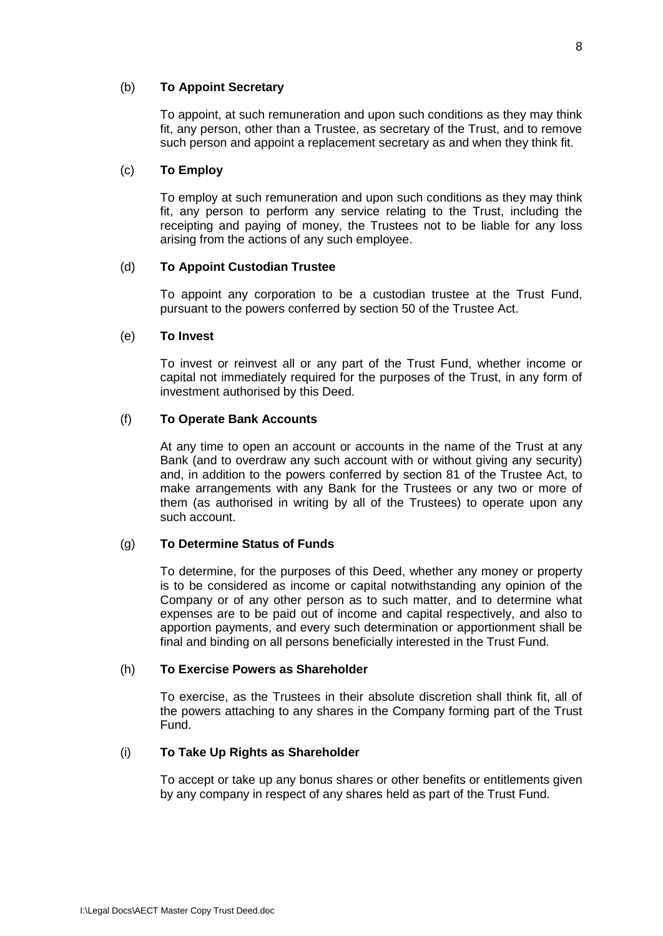### (b) **To Appoint Secretary**

To appoint, at such remuneration and upon such conditions as they may think fit, any person, other than a Trustee, as secretary of the Trust, and to remove such person and appoint a replacement secretary as and when they think fit.

## (c) **To Employ**

To employ at such remuneration and upon such conditions as they may think fit, any person to perform any service relating to the Trust, including the receipting and paying of money, the Trustees not to be liable for any loss arising from the actions of any such employee.

## (d) **To Appoint Custodian Trustee**

To appoint any corporation to be a custodian trustee at the Trust Fund, pursuant to the powers conferred by section 50 of the Trustee Act.

## (e) **To Invest**

To invest or reinvest all or any part of the Trust Fund, whether income or capital not immediately required for the purposes of the Trust, in any form of investment authorised by this Deed.

## (f) **To Operate Bank Accounts**

At any time to open an account or accounts in the name of the Trust at any Bank (and to overdraw any such account with or without giving any security) and, in addition to the powers conferred by section 81 of the Trustee Act, to make arrangements with any Bank for the Trustees or any two or more of them (as authorised in writing by all of the Trustees) to operate upon any such account.

## (g) **To Determine Status of Funds**

To determine, for the purposes of this Deed, whether any money or property is to be considered as income or capital notwithstanding any opinion of the Company or of any other person as to such matter, and to determine what expenses are to be paid out of income and capital respectively, and also to apportion payments, and every such determination or apportionment shall be final and binding on all persons beneficially interested in the Trust Fund.

### (h) **To Exercise Powers as Shareholder**

To exercise, as the Trustees in their absolute discretion shall think fit, all of the powers attaching to any shares in the Company forming part of the Trust Fund.

### (i) **To Take Up Rights as Shareholder**

To accept or take up any bonus shares or other benefits or entitlements given by any company in respect of any shares held as part of the Trust Fund.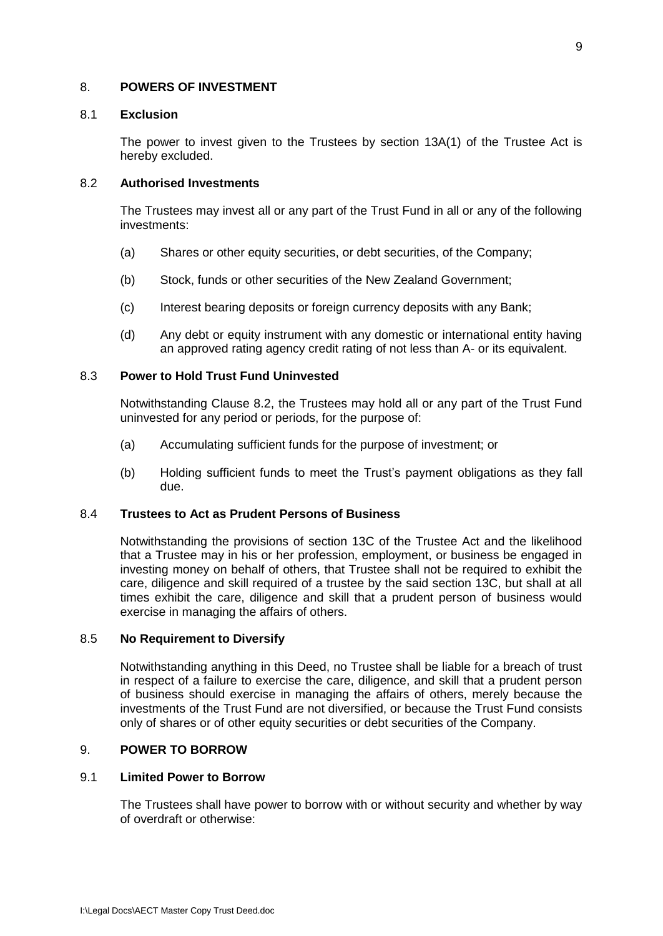### <span id="page-12-1"></span><span id="page-12-0"></span>8. **POWERS OF INVESTMENT**

### 8.1 **Exclusion**

The power to invest given to the Trustees by section 13A(1) of the Trustee Act is hereby excluded.

## <span id="page-12-2"></span>8.2 **Authorised Investments**

The Trustees may invest all or any part of the Trust Fund in all or any of the following investments:

- (a) Shares or other equity securities, or debt securities, of the Company;
- (b) Stock, funds or other securities of the New Zealand Government;
- (c) Interest bearing deposits or foreign currency deposits with any Bank;
- (d) Any debt or equity instrument with any domestic or international entity having an approved rating agency credit rating of not less than A- or its equivalent.

## <span id="page-12-3"></span>8.3 **Power to Hold Trust Fund Uninvested**

Notwithstanding Clause 8.2, the Trustees may hold all or any part of the Trust Fund uninvested for any period or periods, for the purpose of:

- (a) Accumulating sufficient funds for the purpose of investment; or
- (b) Holding sufficient funds to meet the Trust's payment obligations as they fall due.

### <span id="page-12-4"></span>8.4 **Trustees to Act as Prudent Persons of Business**

Notwithstanding the provisions of section 13C of the Trustee Act and the likelihood that a Trustee may in his or her profession, employment, or business be engaged in investing money on behalf of others, that Trustee shall not be required to exhibit the care, diligence and skill required of a trustee by the said section 13C, but shall at all times exhibit the care, diligence and skill that a prudent person of business would exercise in managing the affairs of others.

### <span id="page-12-5"></span>8.5 **No Requirement to Diversify**

Notwithstanding anything in this Deed, no Trustee shall be liable for a breach of trust in respect of a failure to exercise the care, diligence, and skill that a prudent person of business should exercise in managing the affairs of others, merely because the investments of the Trust Fund are not diversified, or because the Trust Fund consists only of shares or of other equity securities or debt securities of the Company.

## <span id="page-12-6"></span>9. **POWER TO BORROW**

### <span id="page-12-7"></span>9.1 **Limited Power to Borrow**

The Trustees shall have power to borrow with or without security and whether by way of overdraft or otherwise: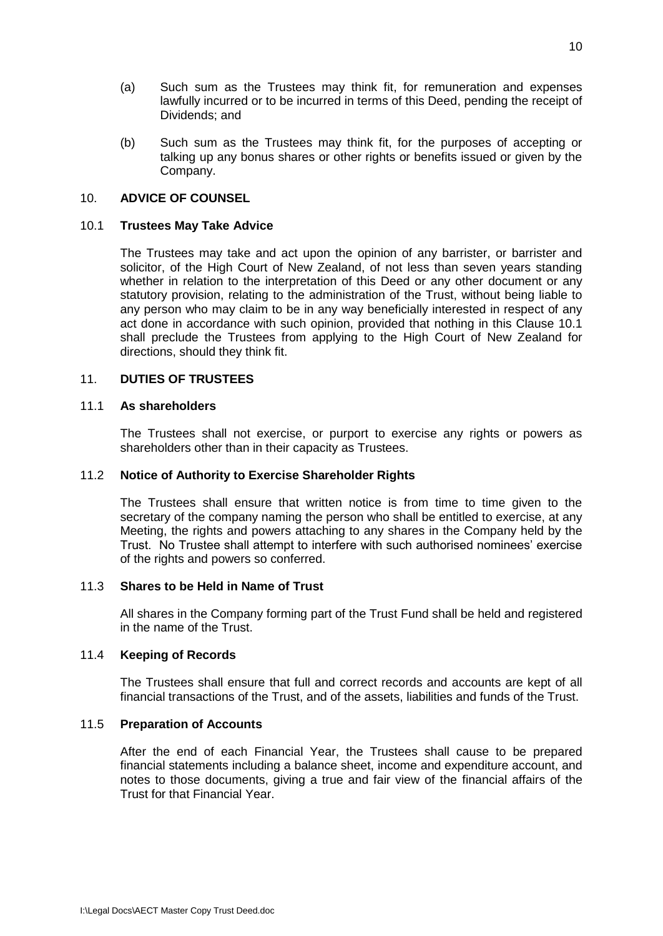- (a) Such sum as the Trustees may think fit, for remuneration and expenses lawfully incurred or to be incurred in terms of this Deed, pending the receipt of Dividends; and
- (b) Such sum as the Trustees may think fit, for the purposes of accepting or talking up any bonus shares or other rights or benefits issued or given by the Company.

## <span id="page-13-0"></span>10. **ADVICE OF COUNSEL**

## <span id="page-13-1"></span>10.1 **Trustees May Take Advice**

The Trustees may take and act upon the opinion of any barrister, or barrister and solicitor, of the High Court of New Zealand, of not less than seven years standing whether in relation to the interpretation of this Deed or any other document or any statutory provision, relating to the administration of the Trust, without being liable to any person who may claim to be in any way beneficially interested in respect of any act done in accordance with such opinion, provided that nothing in this Clause 10.1 shall preclude the Trustees from applying to the High Court of New Zealand for directions, should they think fit.

## <span id="page-13-2"></span>11. **DUTIES OF TRUSTEES**

### <span id="page-13-3"></span>11.1 **As shareholders**

The Trustees shall not exercise, or purport to exercise any rights or powers as shareholders other than in their capacity as Trustees.

## <span id="page-13-4"></span>11.2 **Notice of Authority to Exercise Shareholder Rights**

The Trustees shall ensure that written notice is from time to time given to the secretary of the company naming the person who shall be entitled to exercise, at any Meeting, the rights and powers attaching to any shares in the Company held by the Trust. No Trustee shall attempt to interfere with such authorised nominees' exercise of the rights and powers so conferred.

### <span id="page-13-5"></span>11.3 **Shares to be Held in Name of Trust**

All shares in the Company forming part of the Trust Fund shall be held and registered in the name of the Trust.

### <span id="page-13-6"></span>11.4 **Keeping of Records**

The Trustees shall ensure that full and correct records and accounts are kept of all financial transactions of the Trust, and of the assets, liabilities and funds of the Trust.

## <span id="page-13-7"></span>11.5 **Preparation of Accounts**

After the end of each Financial Year, the Trustees shall cause to be prepared financial statements including a balance sheet, income and expenditure account, and notes to those documents, giving a true and fair view of the financial affairs of the Trust for that Financial Year.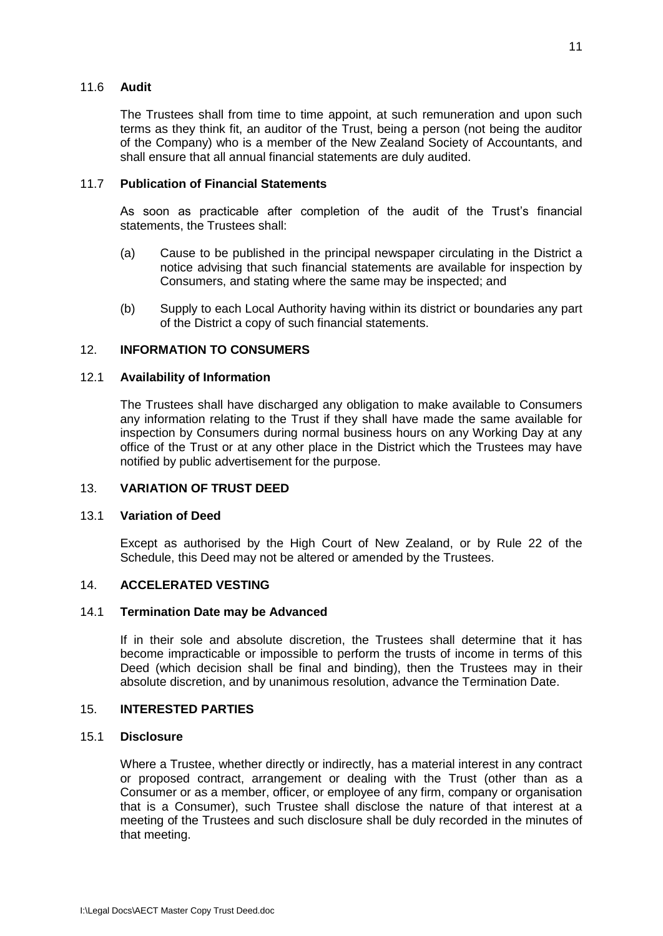## <span id="page-14-0"></span>11.6 **Audit**

The Trustees shall from time to time appoint, at such remuneration and upon such terms as they think fit, an auditor of the Trust, being a person (not being the auditor of the Company) who is a member of the New Zealand Society of Accountants, and shall ensure that all annual financial statements are duly audited.

## <span id="page-14-1"></span>11.7 **Publication of Financial Statements**

As soon as practicable after completion of the audit of the Trust's financial statements, the Trustees shall:

- (a) Cause to be published in the principal newspaper circulating in the District a notice advising that such financial statements are available for inspection by Consumers, and stating where the same may be inspected; and
- (b) Supply to each Local Authority having within its district or boundaries any part of the District a copy of such financial statements.

## <span id="page-14-2"></span>12. **INFORMATION TO CONSUMERS**

## <span id="page-14-3"></span>12.1 **Availability of Information**

The Trustees shall have discharged any obligation to make available to Consumers any information relating to the Trust if they shall have made the same available for inspection by Consumers during normal business hours on any Working Day at any office of the Trust or at any other place in the District which the Trustees may have notified by public advertisement for the purpose.

### <span id="page-14-5"></span><span id="page-14-4"></span>13. **VARIATION OF TRUST DEED**

### 13.1 **Variation of Deed**

Except as authorised by the High Court of New Zealand, or by Rule 22 of the Schedule, this Deed may not be altered or amended by the Trustees.

### <span id="page-14-7"></span><span id="page-14-6"></span>14. **ACCELERATED VESTING**

### 14.1 **Termination Date may be Advanced**

If in their sole and absolute discretion, the Trustees shall determine that it has become impracticable or impossible to perform the trusts of income in terms of this Deed (which decision shall be final and binding), then the Trustees may in their absolute discretion, and by unanimous resolution, advance the Termination Date.

### <span id="page-14-8"></span>15. **INTERESTED PARTIES**

## <span id="page-14-9"></span>15.1 **Disclosure**

Where a Trustee, whether directly or indirectly, has a material interest in any contract or proposed contract, arrangement or dealing with the Trust (other than as a Consumer or as a member, officer, or employee of any firm, company or organisation that is a Consumer), such Trustee shall disclose the nature of that interest at a meeting of the Trustees and such disclosure shall be duly recorded in the minutes of that meeting.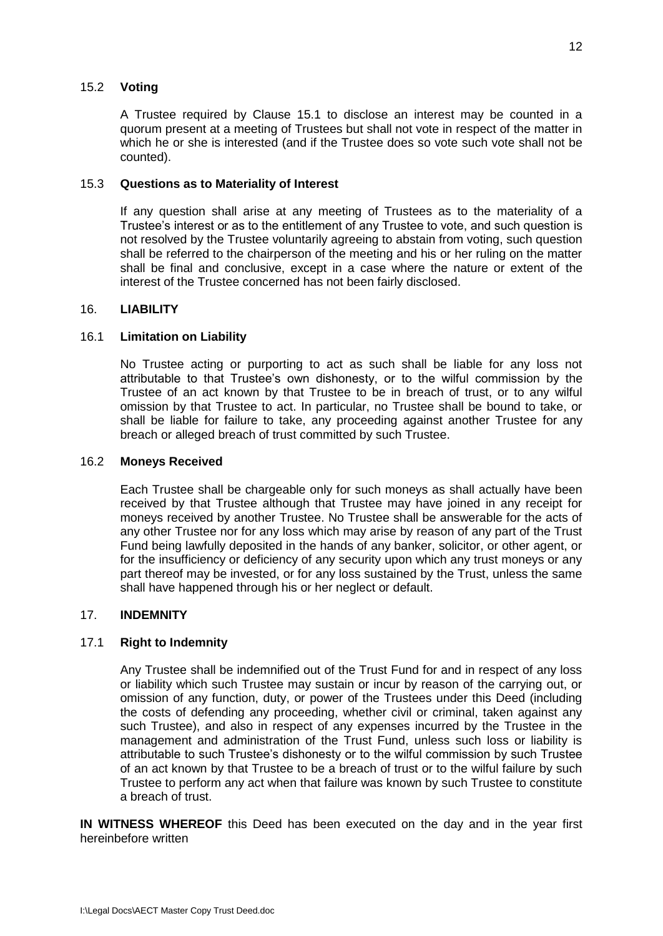## <span id="page-15-0"></span>15.2 **Voting**

A Trustee required by Clause 15.1 to disclose an interest may be counted in a quorum present at a meeting of Trustees but shall not vote in respect of the matter in which he or she is interested (and if the Trustee does so vote such vote shall not be counted).

## <span id="page-15-1"></span>15.3 **Questions as to Materiality of Interest**

If any question shall arise at any meeting of Trustees as to the materiality of a Trustee's interest or as to the entitlement of any Trustee to vote, and such question is not resolved by the Trustee voluntarily agreeing to abstain from voting, such question shall be referred to the chairperson of the meeting and his or her ruling on the matter shall be final and conclusive, except in a case where the nature or extent of the interest of the Trustee concerned has not been fairly disclosed.

## <span id="page-15-2"></span>16. **LIABILITY**

## <span id="page-15-3"></span>16.1 **Limitation on Liability**

No Trustee acting or purporting to act as such shall be liable for any loss not attributable to that Trustee's own dishonesty, or to the wilful commission by the Trustee of an act known by that Trustee to be in breach of trust, or to any wilful omission by that Trustee to act. In particular, no Trustee shall be bound to take, or shall be liable for failure to take, any proceeding against another Trustee for any breach or alleged breach of trust committed by such Trustee.

## <span id="page-15-4"></span>16.2 **Moneys Received**

Each Trustee shall be chargeable only for such moneys as shall actually have been received by that Trustee although that Trustee may have joined in any receipt for moneys received by another Trustee. No Trustee shall be answerable for the acts of any other Trustee nor for any loss which may arise by reason of any part of the Trust Fund being lawfully deposited in the hands of any banker, solicitor, or other agent, or for the insufficiency or deficiency of any security upon which any trust moneys or any part thereof may be invested, or for any loss sustained by the Trust, unless the same shall have happened through his or her neglect or default.

### <span id="page-15-6"></span><span id="page-15-5"></span>17. **INDEMNITY**

## 17.1 **Right to Indemnity**

Any Trustee shall be indemnified out of the Trust Fund for and in respect of any loss or liability which such Trustee may sustain or incur by reason of the carrying out, or omission of any function, duty, or power of the Trustees under this Deed (including the costs of defending any proceeding, whether civil or criminal, taken against any such Trustee), and also in respect of any expenses incurred by the Trustee in the management and administration of the Trust Fund, unless such loss or liability is attributable to such Trustee's dishonesty or to the wilful commission by such Trustee of an act known by that Trustee to be a breach of trust or to the wilful failure by such Trustee to perform any act when that failure was known by such Trustee to constitute a breach of trust.

**IN WITNESS WHEREOF** this Deed has been executed on the day and in the year first hereinbefore written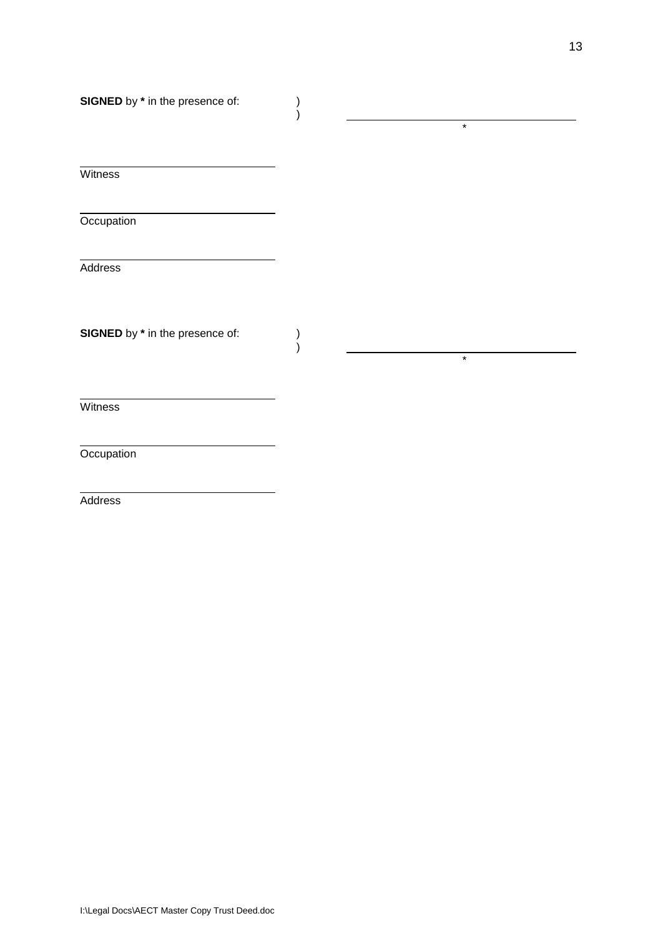)

)  $)$ 

**Witness** 

**Occupation** 

**Address** 

**SIGNED** by  $*$  in the presence of:

**Witness** 

**Occupation** 

**Address** 

\*

\*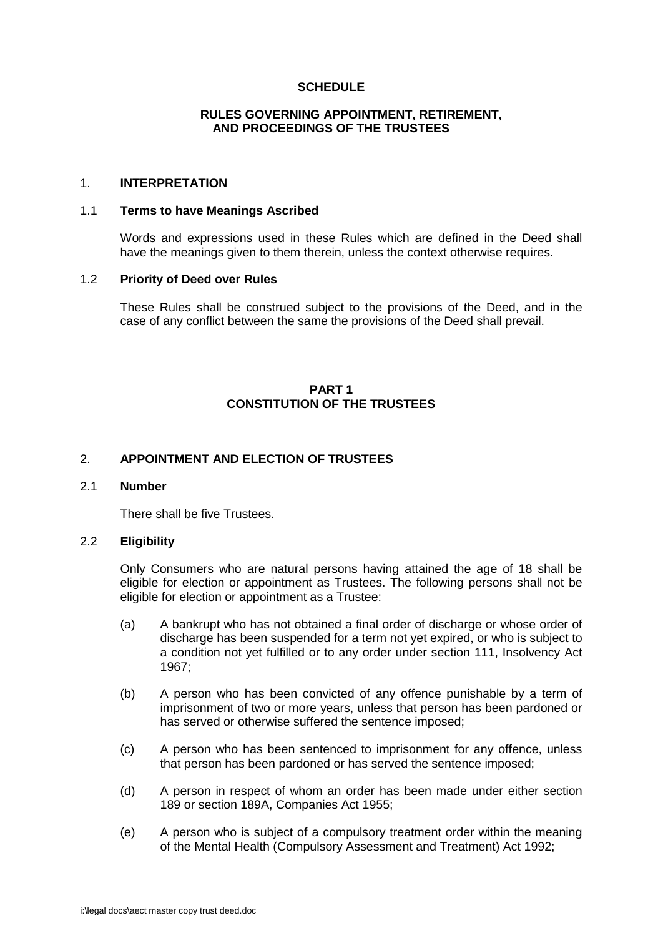## **SCHEDULE**

## **RULES GOVERNING APPOINTMENT, RETIREMENT, AND PROCEEDINGS OF THE TRUSTEES**

## <span id="page-17-2"></span><span id="page-17-1"></span><span id="page-17-0"></span>1. **INTERPRETATION**

#### <span id="page-17-3"></span>1.1 **Terms to have Meanings Ascribed**

Words and expressions used in these Rules which are defined in the Deed shall have the meanings given to them therein, unless the context otherwise requires.

#### <span id="page-17-4"></span>1.2 **Priority of Deed over Rules**

These Rules shall be construed subject to the provisions of the Deed, and in the case of any conflict between the same the provisions of the Deed shall prevail.

## **PART 1 CONSTITUTION OF THE TRUSTEES**

## <span id="page-17-7"></span><span id="page-17-6"></span><span id="page-17-5"></span>2. **APPOINTMENT AND ELECTION OF TRUSTEES**

## <span id="page-17-8"></span>2.1 **Number**

There shall be five Trustees.

### <span id="page-17-9"></span>2.2 **Eligibility**

Only Consumers who are natural persons having attained the age of 18 shall be eligible for election or appointment as Trustees. The following persons shall not be eligible for election or appointment as a Trustee:

- (a) A bankrupt who has not obtained a final order of discharge or whose order of discharge has been suspended for a term not yet expired, or who is subject to a condition not yet fulfilled or to any order under section 111, Insolvency Act 1967;
- (b) A person who has been convicted of any offence punishable by a term of imprisonment of two or more years, unless that person has been pardoned or has served or otherwise suffered the sentence imposed;
- (c) A person who has been sentenced to imprisonment for any offence, unless that person has been pardoned or has served the sentence imposed;
- (d) A person in respect of whom an order has been made under either section 189 or section 189A, Companies Act 1955;
- (e) A person who is subject of a compulsory treatment order within the meaning of the Mental Health (Compulsory Assessment and Treatment) Act 1992;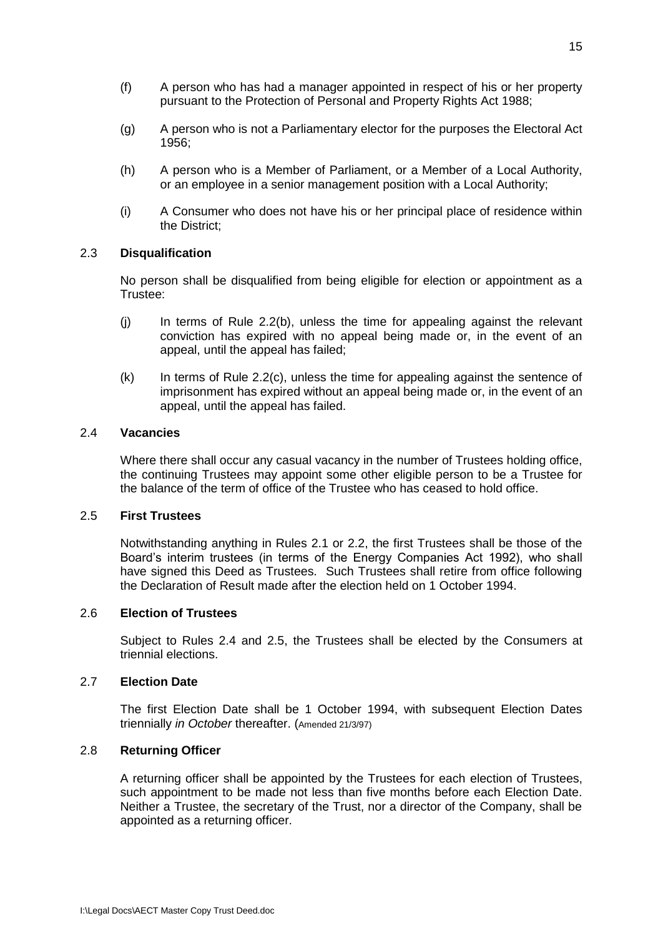- (f) A person who has had a manager appointed in respect of his or her property pursuant to the Protection of Personal and Property Rights Act 1988;
- (g) A person who is not a Parliamentary elector for the purposes the Electoral Act 1956;
- (h) A person who is a Member of Parliament, or a Member of a Local Authority, or an employee in a senior management position with a Local Authority;
- (i) A Consumer who does not have his or her principal place of residence within the District;

### 2.3 **Disqualification**

No person shall be disqualified from being eligible for election or appointment as a Trustee:

- (j) In terms of Rule 2.2(b), unless the time for appealing against the relevant conviction has expired with no appeal being made or, in the event of an appeal, until the appeal has failed;
- $(k)$  In terms of Rule 2.2(c), unless the time for appealing against the sentence of imprisonment has expired without an appeal being made or, in the event of an appeal, until the appeal has failed.

## <span id="page-18-0"></span>2.4 **Vacancies**

Where there shall occur any casual vacancy in the number of Trustees holding office, the continuing Trustees may appoint some other eligible person to be a Trustee for the balance of the term of office of the Trustee who has ceased to hold office.

### <span id="page-18-1"></span>2.5 **First Trustees**

Notwithstanding anything in Rules 2.1 or 2.2, the first Trustees shall be those of the Board's interim trustees (in terms of the Energy Companies Act 1992), who shall have signed this Deed as Trustees. Such Trustees shall retire from office following the Declaration of Result made after the election held on 1 October 1994.

### <span id="page-18-2"></span>2.6 **Election of Trustees**

Subject to Rules 2.4 and 2.5, the Trustees shall be elected by the Consumers at triennial elections.

### <span id="page-18-3"></span>2.7 **Election Date**

The first Election Date shall be 1 October 1994, with subsequent Election Dates triennially *in October* thereafter. (Amended 21/3/97)

## <span id="page-18-4"></span>2.8 **Returning Officer**

A returning officer shall be appointed by the Trustees for each election of Trustees, such appointment to be made not less than five months before each Election Date. Neither a Trustee, the secretary of the Trust, nor a director of the Company, shall be appointed as a returning officer.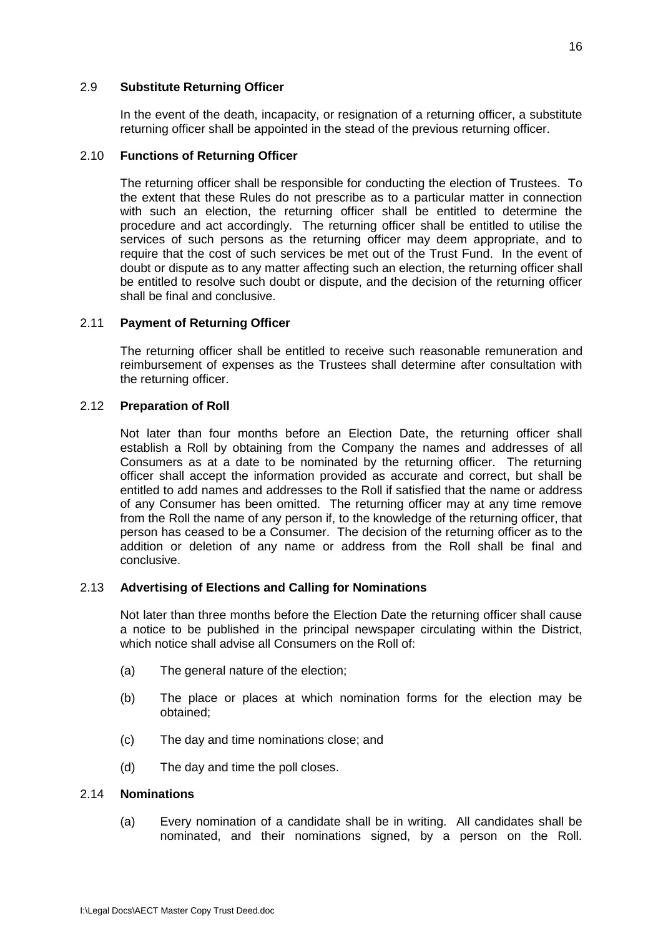### <span id="page-19-0"></span>2.9 **Substitute Returning Officer**

In the event of the death, incapacity, or resignation of a returning officer, a substitute returning officer shall be appointed in the stead of the previous returning officer.

## <span id="page-19-1"></span>2.10 **Functions of Returning Officer**

The returning officer shall be responsible for conducting the election of Trustees. To the extent that these Rules do not prescribe as to a particular matter in connection with such an election, the returning officer shall be entitled to determine the procedure and act accordingly. The returning officer shall be entitled to utilise the services of such persons as the returning officer may deem appropriate, and to require that the cost of such services be met out of the Trust Fund. In the event of doubt or dispute as to any matter affecting such an election, the returning officer shall be entitled to resolve such doubt or dispute, and the decision of the returning officer shall be final and conclusive.

## <span id="page-19-2"></span>2.11 **Payment of Returning Officer**

The returning officer shall be entitled to receive such reasonable remuneration and reimbursement of expenses as the Trustees shall determine after consultation with the returning officer.

## <span id="page-19-3"></span>2.12 **Preparation of Roll**

Not later than four months before an Election Date, the returning officer shall establish a Roll by obtaining from the Company the names and addresses of all Consumers as at a date to be nominated by the returning officer. The returning officer shall accept the information provided as accurate and correct, but shall be entitled to add names and addresses to the Roll if satisfied that the name or address of any Consumer has been omitted. The returning officer may at any time remove from the Roll the name of any person if, to the knowledge of the returning officer, that person has ceased to be a Consumer. The decision of the returning officer as to the addition or deletion of any name or address from the Roll shall be final and conclusive.

## <span id="page-19-4"></span>2.13 **Advertising of Elections and Calling for Nominations**

Not later than three months before the Election Date the returning officer shall cause a notice to be published in the principal newspaper circulating within the District, which notice shall advise all Consumers on the Roll of

- (a) The general nature of the election;
- (b) The place or places at which nomination forms for the election may be obtained;
- (c) The day and time nominations close; and
- (d) The day and time the poll closes.

### <span id="page-19-5"></span>2.14 **Nominations**

(a) Every nomination of a candidate shall be in writing. All candidates shall be nominated, and their nominations signed, by a person on the Roll.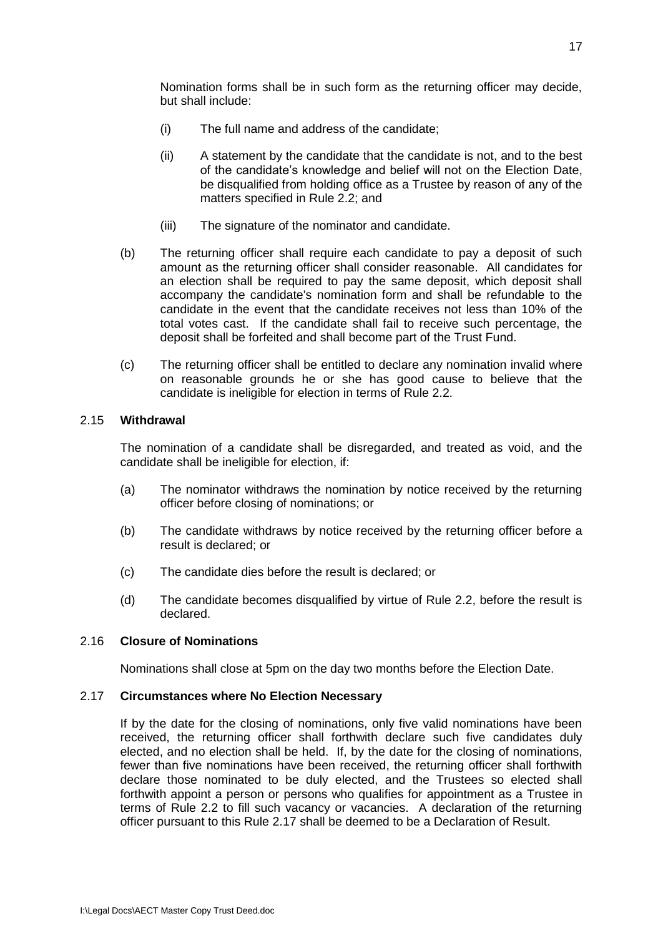Nomination forms shall be in such form as the returning officer may decide, but shall include:

- (i) The full name and address of the candidate;
- (ii) A statement by the candidate that the candidate is not, and to the best of the candidate's knowledge and belief will not on the Election Date, be disqualified from holding office as a Trustee by reason of any of the matters specified in Rule 2.2; and
- (iii) The signature of the nominator and candidate.
- (b) The returning officer shall require each candidate to pay a deposit of such amount as the returning officer shall consider reasonable. All candidates for an election shall be required to pay the same deposit, which deposit shall accompany the candidate's nomination form and shall be refundable to the candidate in the event that the candidate receives not less than 10% of the total votes cast. If the candidate shall fail to receive such percentage, the deposit shall be forfeited and shall become part of the Trust Fund.
- (c) The returning officer shall be entitled to declare any nomination invalid where on reasonable grounds he or she has good cause to believe that the candidate is ineligible for election in terms of Rule 2.2.

## <span id="page-20-0"></span>2.15 **Withdrawal**

The nomination of a candidate shall be disregarded, and treated as void, and the candidate shall be ineligible for election, if:

- (a) The nominator withdraws the nomination by notice received by the returning officer before closing of nominations; or
- (b) The candidate withdraws by notice received by the returning officer before a result is declared; or
- (c) The candidate dies before the result is declared; or
- (d) The candidate becomes disqualified by virtue of Rule 2.2, before the result is declared.

## <span id="page-20-1"></span>2.16 **Closure of Nominations**

Nominations shall close at 5pm on the day two months before the Election Date.

### <span id="page-20-2"></span>2.17 **Circumstances where No Election Necessary**

If by the date for the closing of nominations, only five valid nominations have been received, the returning officer shall forthwith declare such five candidates duly elected, and no election shall be held. If, by the date for the closing of nominations, fewer than five nominations have been received, the returning officer shall forthwith declare those nominated to be duly elected, and the Trustees so elected shall forthwith appoint a person or persons who qualifies for appointment as a Trustee in terms of Rule 2.2 to fill such vacancy or vacancies. A declaration of the returning officer pursuant to this Rule 2.17 shall be deemed to be a Declaration of Result.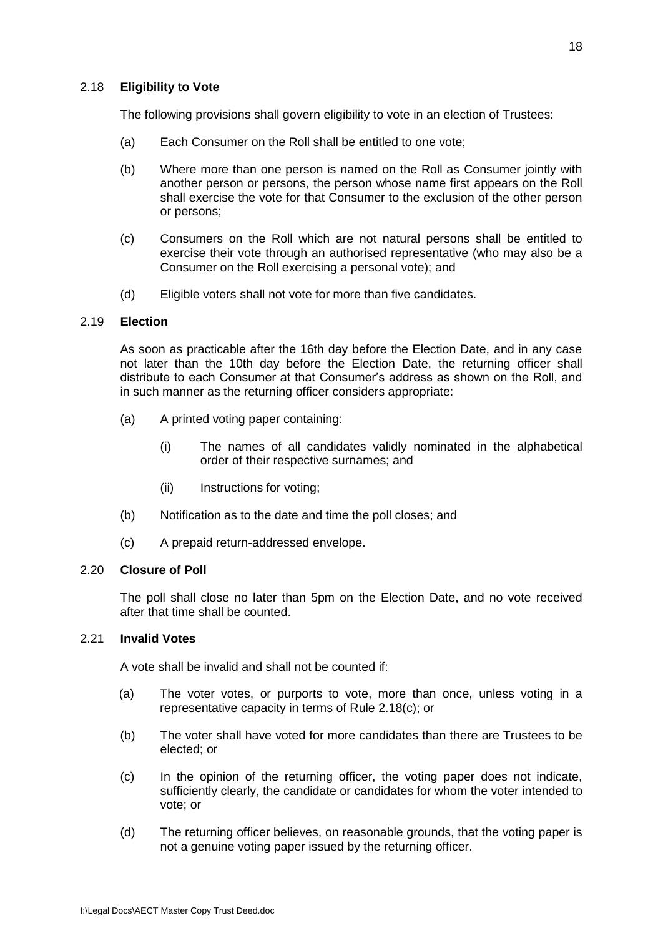## <span id="page-21-0"></span>2.18 **Eligibility to Vote**

The following provisions shall govern eligibility to vote in an election of Trustees:

- (a) Each Consumer on the Roll shall be entitled to one vote;
- (b) Where more than one person is named on the Roll as Consumer jointly with another person or persons, the person whose name first appears on the Roll shall exercise the vote for that Consumer to the exclusion of the other person or persons;
- (c) Consumers on the Roll which are not natural persons shall be entitled to exercise their vote through an authorised representative (who may also be a Consumer on the Roll exercising a personal vote); and
- (d) Eligible voters shall not vote for more than five candidates.

### <span id="page-21-1"></span>2.19 **Election**

As soon as practicable after the 16th day before the Election Date, and in any case not later than the 10th day before the Election Date, the returning officer shall distribute to each Consumer at that Consumer's address as shown on the Roll, and in such manner as the returning officer considers appropriate:

- (a) A printed voting paper containing:
	- (i) The names of all candidates validly nominated in the alphabetical order of their respective surnames; and
	- (ii) Instructions for voting;
- (b) Notification as to the date and time the poll closes; and
- (c) A prepaid return-addressed envelope.

## <span id="page-21-2"></span>2.20 **Closure of Poll**

The poll shall close no later than 5pm on the Election Date, and no vote received after that time shall be counted.

## <span id="page-21-3"></span>2.21 **Invalid Votes**

A vote shall be invalid and shall not be counted if:

- (a) The voter votes, or purports to vote, more than once, unless voting in a representative capacity in terms of Rule 2.18(c); or
- (b) The voter shall have voted for more candidates than there are Trustees to be elected; or
- (c) In the opinion of the returning officer, the voting paper does not indicate, sufficiently clearly, the candidate or candidates for whom the voter intended to vote; or
- (d) The returning officer believes, on reasonable grounds, that the voting paper is not a genuine voting paper issued by the returning officer.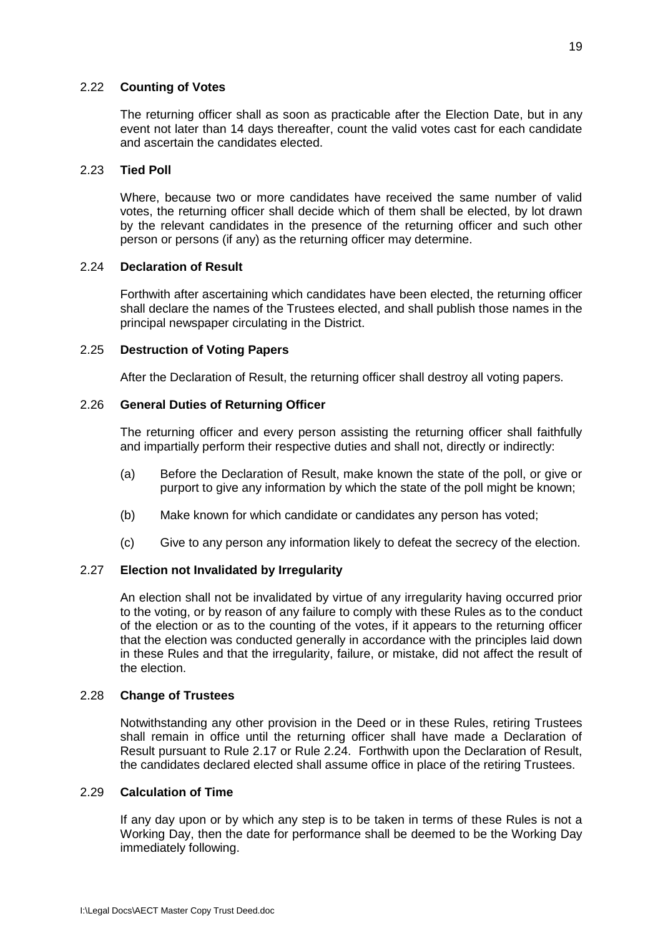## <span id="page-22-0"></span>2.22 **Counting of Votes**

The returning officer shall as soon as practicable after the Election Date, but in any event not later than 14 days thereafter, count the valid votes cast for each candidate and ascertain the candidates elected.

## <span id="page-22-1"></span>2.23 **Tied Poll**

Where, because two or more candidates have received the same number of valid votes, the returning officer shall decide which of them shall be elected, by lot drawn by the relevant candidates in the presence of the returning officer and such other person or persons (if any) as the returning officer may determine.

## <span id="page-22-2"></span>2.24 **Declaration of Result**

Forthwith after ascertaining which candidates have been elected, the returning officer shall declare the names of the Trustees elected, and shall publish those names in the principal newspaper circulating in the District.

## <span id="page-22-3"></span>2.25 **Destruction of Voting Papers**

After the Declaration of Result, the returning officer shall destroy all voting papers.

## <span id="page-22-4"></span>2.26 **General Duties of Returning Officer**

The returning officer and every person assisting the returning officer shall faithfully and impartially perform their respective duties and shall not, directly or indirectly:

- (a) Before the Declaration of Result, make known the state of the poll, or give or purport to give any information by which the state of the poll might be known;
- (b) Make known for which candidate or candidates any person has voted;
- (c) Give to any person any information likely to defeat the secrecy of the election.

## <span id="page-22-5"></span>2.27 **Election not Invalidated by Irregularity**

An election shall not be invalidated by virtue of any irregularity having occurred prior to the voting, or by reason of any failure to comply with these Rules as to the conduct of the election or as to the counting of the votes, if it appears to the returning officer that the election was conducted generally in accordance with the principles laid down in these Rules and that the irregularity, failure, or mistake, did not affect the result of the election.

## <span id="page-22-6"></span>2.28 **Change of Trustees**

Notwithstanding any other provision in the Deed or in these Rules, retiring Trustees shall remain in office until the returning officer shall have made a Declaration of Result pursuant to Rule 2.17 or Rule 2.24. Forthwith upon the Declaration of Result, the candidates declared elected shall assume office in place of the retiring Trustees.

## <span id="page-22-7"></span>2.29 **Calculation of Time**

If any day upon or by which any step is to be taken in terms of these Rules is not a Working Day, then the date for performance shall be deemed to be the Working Day immediately following.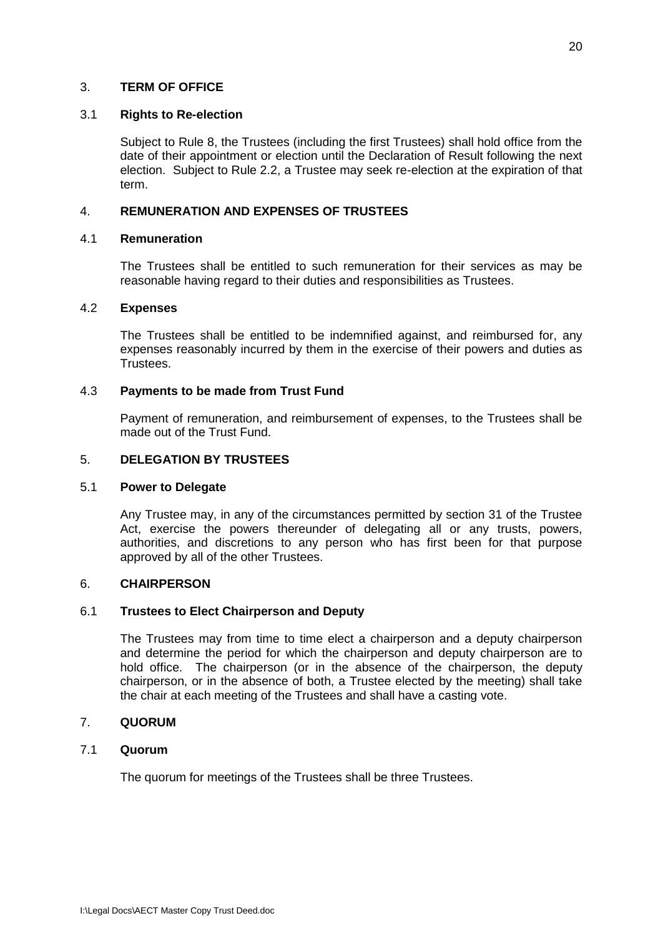## <span id="page-23-0"></span>3. **TERM OF OFFICE**

### <span id="page-23-1"></span>3.1 **Rights to Re-election**

Subject to Rule 8, the Trustees (including the first Trustees) shall hold office from the date of their appointment or election until the Declaration of Result following the next election. Subject to Rule 2.2, a Trustee may seek re-election at the expiration of that term.

## <span id="page-23-3"></span><span id="page-23-2"></span>4. **REMUNERATION AND EXPENSES OF TRUSTEES**

## 4.1 **Remuneration**

The Trustees shall be entitled to such remuneration for their services as may be reasonable having regard to their duties and responsibilities as Trustees.

### <span id="page-23-4"></span>4.2 **Expenses**

The Trustees shall be entitled to be indemnified against, and reimbursed for, any expenses reasonably incurred by them in the exercise of their powers and duties as Trustees.

## <span id="page-23-5"></span>4.3 **Payments to be made from Trust Fund**

Payment of remuneration, and reimbursement of expenses, to the Trustees shall be made out of the Trust Fund.

## <span id="page-23-7"></span><span id="page-23-6"></span>5. **DELEGATION BY TRUSTEES**

### 5.1 **Power to Delegate**

Any Trustee may, in any of the circumstances permitted by section 31 of the Trustee Act, exercise the powers thereunder of delegating all or any trusts, powers, authorities, and discretions to any person who has first been for that purpose approved by all of the other Trustees.

## <span id="page-23-9"></span><span id="page-23-8"></span>6. **CHAIRPERSON**

## 6.1 **Trustees to Elect Chairperson and Deputy**

The Trustees may from time to time elect a chairperson and a deputy chairperson and determine the period for which the chairperson and deputy chairperson are to hold office. The chairperson (or in the absence of the chairperson, the deputy chairperson, or in the absence of both, a Trustee elected by the meeting) shall take the chair at each meeting of the Trustees and shall have a casting vote.

## <span id="page-23-11"></span><span id="page-23-10"></span>7. **QUORUM**

## 7.1 **Quorum**

The quorum for meetings of the Trustees shall be three Trustees.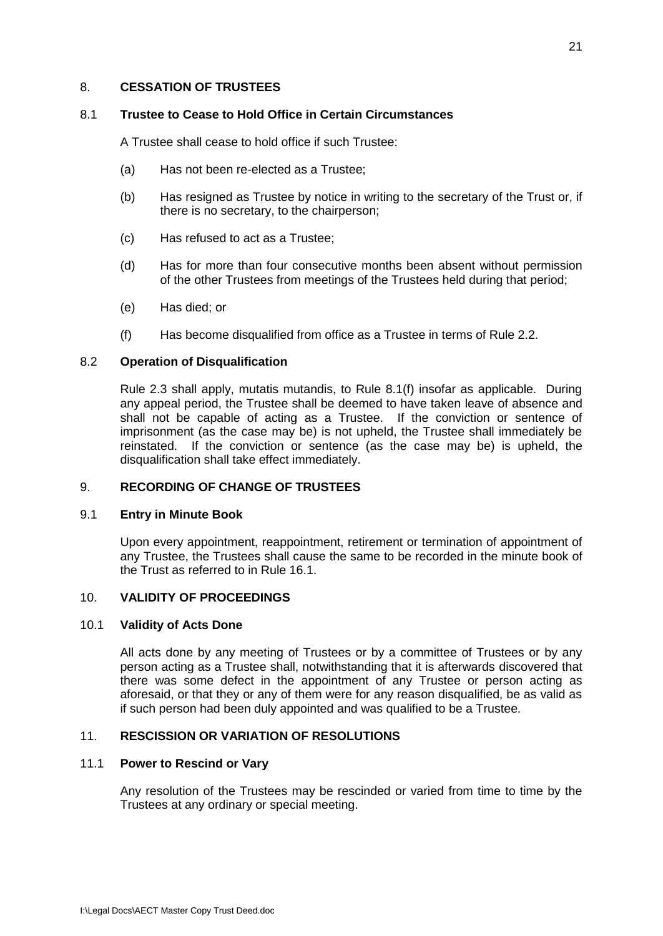### <span id="page-24-1"></span><span id="page-24-0"></span>8. **CESSATION OF TRUSTEES**

## 8.1 **Trustee to Cease to Hold Office in Certain Circumstances**

A Trustee shall cease to hold office if such Trustee:

- (a) Has not been re-elected as a Trustee;
- (b) Has resigned as Trustee by notice in writing to the secretary of the Trust or, if there is no secretary, to the chairperson;
- (c) Has refused to act as a Trustee;
- (d) Has for more than four consecutive months been absent without permission of the other Trustees from meetings of the Trustees held during that period;
- (e) Has died; or
- (f) Has become disqualified from office as a Trustee in terms of Rule 2.2.

## <span id="page-24-2"></span>8.2 **Operation of Disqualification**

Rule 2.3 shall apply, mutatis mutandis, to Rule 8.1(f) insofar as applicable. During any appeal period, the Trustee shall be deemed to have taken leave of absence and shall not be capable of acting as a Trustee. If the conviction or sentence of imprisonment (as the case may be) is not upheld, the Trustee shall immediately be reinstated. If the conviction or sentence (as the case may be) is upheld, the disqualification shall take effect immediately.

## <span id="page-24-3"></span>9. **RECORDING OF CHANGE OF TRUSTEES**

### <span id="page-24-4"></span>9.1 **Entry in Minute Book**

Upon every appointment, reappointment, retirement or termination of appointment of any Trustee, the Trustees shall cause the same to be recorded in the minute book of the Trust as referred to in Rule 16.1.

## <span id="page-24-6"></span><span id="page-24-5"></span>10. **VALIDITY OF PROCEEDINGS**

### 10.1 **Validity of Acts Done**

All acts done by any meeting of Trustees or by a committee of Trustees or by any person acting as a Trustee shall, notwithstanding that it is afterwards discovered that there was some defect in the appointment of any Trustee or person acting as aforesaid, or that they or any of them were for any reason disqualified, be as valid as if such person had been duly appointed and was qualified to be a Trustee.

## <span id="page-24-8"></span><span id="page-24-7"></span>11. **RESCISSION OR VARIATION OF RESOLUTIONS**

### 11.1 **Power to Rescind or Vary**

Any resolution of the Trustees may be rescinded or varied from time to time by the Trustees at any ordinary or special meeting.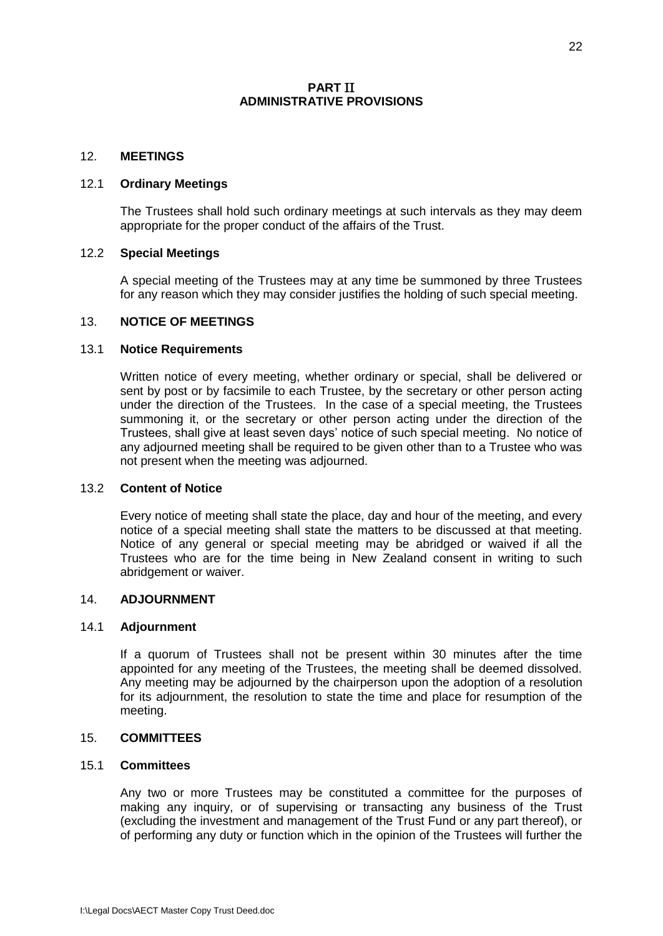## **PART** II **ADMINISTRATIVE PROVISIONS**

## <span id="page-25-2"></span><span id="page-25-1"></span><span id="page-25-0"></span>12. **MEETINGS**

#### <span id="page-25-3"></span>12.1 **Ordinary Meetings**

The Trustees shall hold such ordinary meetings at such intervals as they may deem appropriate for the proper conduct of the affairs of the Trust.

#### <span id="page-25-4"></span>12.2 **Special Meetings**

A special meeting of the Trustees may at any time be summoned by three Trustees for any reason which they may consider justifies the holding of such special meeting.

#### <span id="page-25-5"></span>13. **NOTICE OF MEETINGS**

#### <span id="page-25-6"></span>13.1 **Notice Requirements**

Written notice of every meeting, whether ordinary or special, shall be delivered or sent by post or by facsimile to each Trustee, by the secretary or other person acting under the direction of the Trustees. In the case of a special meeting, the Trustees summoning it, or the secretary or other person acting under the direction of the Trustees, shall give at least seven days' notice of such special meeting. No notice of any adjourned meeting shall be required to be given other than to a Trustee who was not present when the meeting was adjourned.

#### <span id="page-25-7"></span>13.2 **Content of Notice**

Every notice of meeting shall state the place, day and hour of the meeting, and every notice of a special meeting shall state the matters to be discussed at that meeting. Notice of any general or special meeting may be abridged or waived if all the Trustees who are for the time being in New Zealand consent in writing to such abridgement or waiver.

#### <span id="page-25-9"></span><span id="page-25-8"></span>14. **ADJOURNMENT**

#### 14.1 **Adjournment**

If a quorum of Trustees shall not be present within 30 minutes after the time appointed for any meeting of the Trustees, the meeting shall be deemed dissolved. Any meeting may be adjourned by the chairperson upon the adoption of a resolution for its adjournment, the resolution to state the time and place for resumption of the meeting.

## <span id="page-25-10"></span>15. **COMMITTEES**

#### <span id="page-25-11"></span>15.1 **Committees**

Any two or more Trustees may be constituted a committee for the purposes of making any inquiry, or of supervising or transacting any business of the Trust (excluding the investment and management of the Trust Fund or any part thereof), or of performing any duty or function which in the opinion of the Trustees will further the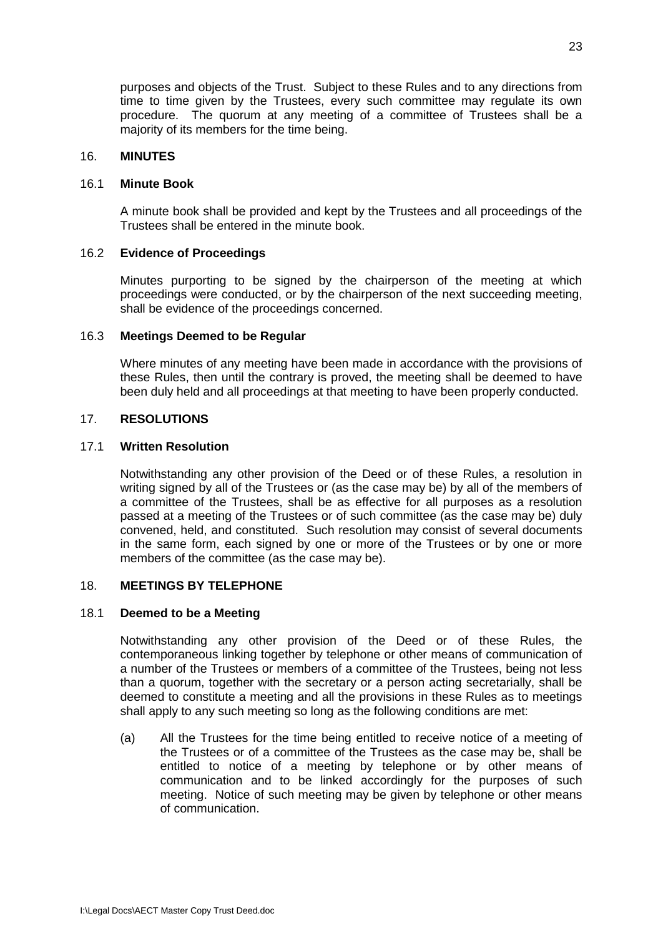purposes and objects of the Trust. Subject to these Rules and to any directions from time to time given by the Trustees, every such committee may regulate its own procedure. The quorum at any meeting of a committee of Trustees shall be a majority of its members for the time being.

### <span id="page-26-1"></span><span id="page-26-0"></span>16. **MINUTES**

#### 16.1 **Minute Book**

A minute book shall be provided and kept by the Trustees and all proceedings of the Trustees shall be entered in the minute book.

#### <span id="page-26-2"></span>16.2 **Evidence of Proceedings**

Minutes purporting to be signed by the chairperson of the meeting at which proceedings were conducted, or by the chairperson of the next succeeding meeting, shall be evidence of the proceedings concerned.

#### <span id="page-26-3"></span>16.3 **Meetings Deemed to be Regular**

Where minutes of any meeting have been made in accordance with the provisions of these Rules, then until the contrary is proved, the meeting shall be deemed to have been duly held and all proceedings at that meeting to have been properly conducted.

## <span id="page-26-5"></span><span id="page-26-4"></span>17. **RESOLUTIONS**

#### 17.1 **Written Resolution**

Notwithstanding any other provision of the Deed or of these Rules, a resolution in writing signed by all of the Trustees or (as the case may be) by all of the members of a committee of the Trustees, shall be as effective for all purposes as a resolution passed at a meeting of the Trustees or of such committee (as the case may be) duly convened, held, and constituted. Such resolution may consist of several documents in the same form, each signed by one or more of the Trustees or by one or more members of the committee (as the case may be).

## <span id="page-26-7"></span><span id="page-26-6"></span>18. **MEETINGS BY TELEPHONE**

#### 18.1 **Deemed to be a Meeting**

Notwithstanding any other provision of the Deed or of these Rules, the contemporaneous linking together by telephone or other means of communication of a number of the Trustees or members of a committee of the Trustees, being not less than a quorum, together with the secretary or a person acting secretarially, shall be deemed to constitute a meeting and all the provisions in these Rules as to meetings shall apply to any such meeting so long as the following conditions are met:

(a) All the Trustees for the time being entitled to receive notice of a meeting of the Trustees or of a committee of the Trustees as the case may be, shall be entitled to notice of a meeting by telephone or by other means of communication and to be linked accordingly for the purposes of such meeting. Notice of such meeting may be given by telephone or other means of communication.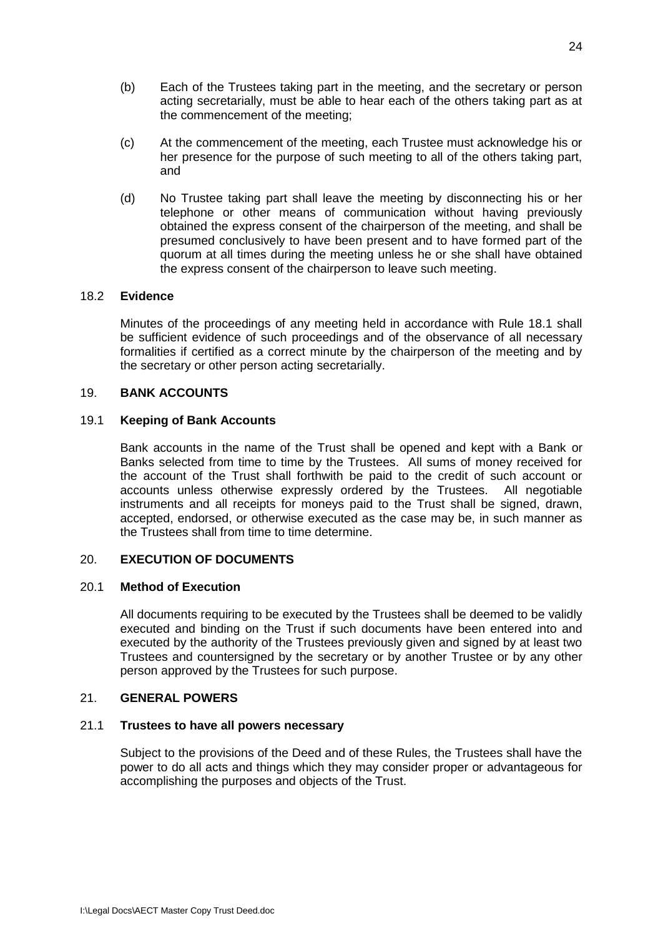- (b) Each of the Trustees taking part in the meeting, and the secretary or person acting secretarially, must be able to hear each of the others taking part as at the commencement of the meeting;
- (c) At the commencement of the meeting, each Trustee must acknowledge his or her presence for the purpose of such meeting to all of the others taking part, and
- (d) No Trustee taking part shall leave the meeting by disconnecting his or her telephone or other means of communication without having previously obtained the express consent of the chairperson of the meeting, and shall be presumed conclusively to have been present and to have formed part of the quorum at all times during the meeting unless he or she shall have obtained the express consent of the chairperson to leave such meeting.

## <span id="page-27-0"></span>18.2 **Evidence**

Minutes of the proceedings of any meeting held in accordance with Rule 18.1 shall be sufficient evidence of such proceedings and of the observance of all necessary formalities if certified as a correct minute by the chairperson of the meeting and by the secretary or other person acting secretarially.

## <span id="page-27-2"></span><span id="page-27-1"></span>19. **BANK ACCOUNTS**

## 19.1 **Keeping of Bank Accounts**

Bank accounts in the name of the Trust shall be opened and kept with a Bank or Banks selected from time to time by the Trustees. All sums of money received for the account of the Trust shall forthwith be paid to the credit of such account or accounts unless otherwise expressly ordered by the Trustees. All negotiable instruments and all receipts for moneys paid to the Trust shall be signed, drawn, accepted, endorsed, or otherwise executed as the case may be, in such manner as the Trustees shall from time to time determine.

## <span id="page-27-4"></span><span id="page-27-3"></span>20. **EXECUTION OF DOCUMENTS**

### 20.1 **Method of Execution**

All documents requiring to be executed by the Trustees shall be deemed to be validly executed and binding on the Trust if such documents have been entered into and executed by the authority of the Trustees previously given and signed by at least two Trustees and countersigned by the secretary or by another Trustee or by any other person approved by the Trustees for such purpose.

### <span id="page-27-6"></span><span id="page-27-5"></span>21. **GENERAL POWERS**

### 21.1 **Trustees to have all powers necessary**

Subject to the provisions of the Deed and of these Rules, the Trustees shall have the power to do all acts and things which they may consider proper or advantageous for accomplishing the purposes and objects of the Trust.